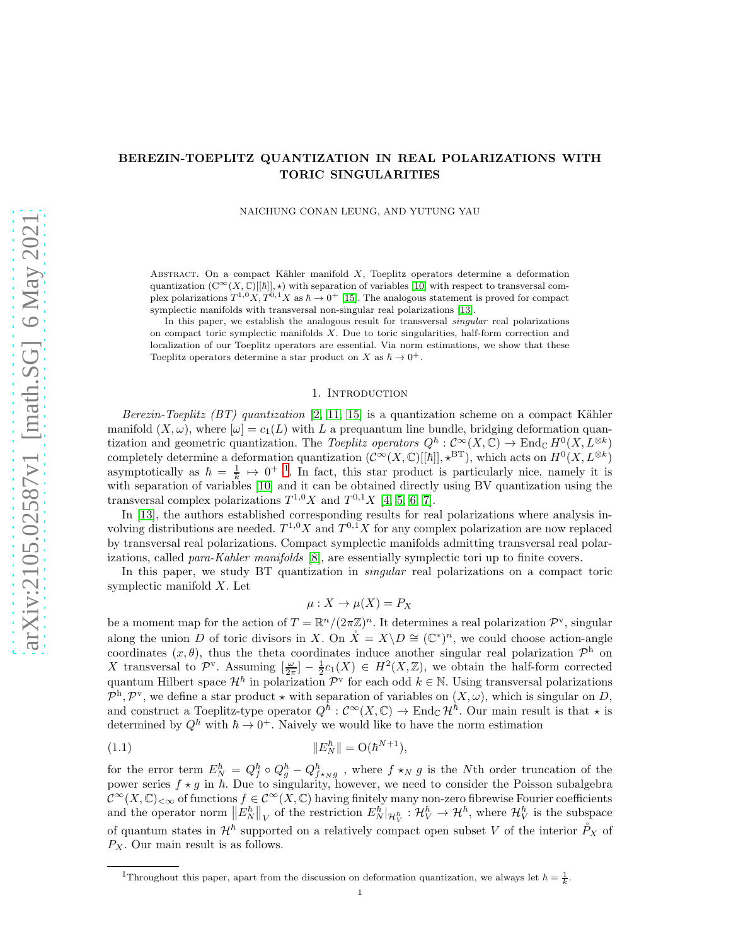# BEREZIN-TOEPLITZ QUANTIZATION IN REAL POLARIZATIONS WITH TORIC SINGULARITIES

NAICHUNG CONAN LEUNG, AND YUTUNG YAU

ABSTRACT. On a compact Kähler manifold  $X$ , Toeplitz operators determine a deformation quantization  $(C^{\infty}(X, \mathbb{C})[[\hbar]], \star)$  with separation of variables [\[10\]](#page-15-0) with respect to transversal complex polarizations  $T^{1,0}X, T^{0,1}X$  as  $\hbar \to 0^+$  [\[15\]](#page-15-1). The analogous statement is proved for compact symplectic manifolds with transversal non-singular real polarizations [\[13\]](#page-15-2).

In this paper, we establish the analogous result for transversal singular real polarizations on compact toric symplectic manifolds  $X$ . Due to toric singularities, half-form correction and localization of our Toeplitz operators are essential. Via norm estimations, we show that these Toeplitz operators determine a star product on X as  $\hbar \to 0^+$ .

#### 1. Introduction

Berezin-Toeplitz (BT) quantization  $[2, 11, 15]$  $[2, 11, 15]$  $[2, 11, 15]$  is a quantization scheme on a compact Kähler manifold  $(X, \omega)$ , where  $[\omega] = c_1(L)$  with L a prequantum line bundle, bridging deformation quantization and geometric quantization. The Toeplitz operators  $Q^{\hbar}: C^{\infty}(X, \mathbb{C}) \to \text{End}_{\mathbb{C}} H^0(X, L^{\otimes k})$ completely determine a deformation quantization  $(C^{\infty}(X, \mathbb{C})[[\hbar]], *^{BT})$ , which acts on  $H^0(X, L^{\otimes k})$ asymptotically as  $\hbar = \frac{1}{k} \mapsto 0^{+1}$  $\hbar = \frac{1}{k} \mapsto 0^{+1}$  $\hbar = \frac{1}{k} \mapsto 0^{+1}$ . In fact, this star product is particularly nice, namely it is with separation of variables [\[10\]](#page-15-0) and it can be obtained directly using BV quantization using the transversal complex polarizations  $T^{1,0}X$  and  $T^{0,1}X$  [\[4,](#page-15-5) [5,](#page-15-6) [6,](#page-15-7) [7\]](#page-15-8).

In [\[13\]](#page-15-2), the authors established corresponding results for real polarizations where analysis involving distributions are needed.  $T^{1,0}X$  and  $T^{0,1}X$  for any complex polarization are now replaced by transversal real polarizations. Compact symplectic manifolds admitting transversal real polar-izations, called para-Kahler manifolds [\[8\]](#page-15-9), are essentially symplectic tori up to finite covers.

In this paper, we study BT quantization in *singular* real polarizations on a compact toric symplectic manifold X. Let

$$
\mu: X \to \mu(X) = P_X
$$

be a moment map for the action of  $T = \mathbb{R}^n/(2\pi \mathbb{Z})^n$ . It determines a real polarization  $\mathcal{P}^{\rm v}$ , singular along the union D of toric divisors in X. On  $\mathring{X} = X \backslash D \cong (\mathbb{C}^*)^n$ , we could choose action-angle coordinates  $(x, \theta)$ , thus the theta coordinates induce another singular real polarization  $\mathcal{P}^h$  on X transversal to  $\mathcal{P}^{\nu}$ . Assuming  $\left[\frac{\omega}{2\pi}\right]-\frac{1}{2}c_1(X) \in H^2(X,\mathbb{Z})$ , we obtain the half-form corrected quantum Hilbert space  $\mathcal{H}^{\hbar}$  in polarization  $\mathcal{P}^{\mathrm{v}}$  for each odd  $k \in \mathbb{N}$ . Using transversal polarizations  $\mathcal{P}^h$ ,  $\mathcal{P}^v$ , we define a star product  $\star$  with separation of variables on  $(X,\omega)$ , which is singular on D, and construct a Toeplitz-type operator  $Q^{\hat{h}}: C^{\infty}(X, \mathbb{C}) \to \text{End}_{\mathbb{C}}\mathcal{H}^{\hat{h}}$ . Our main result is that  $\star$  is determined by  $Q^{\hbar}$  with  $\hbar \to 0^+$ . Naively we would like to have the norm estimation

(1.1) 
$$
||E_N^{\hbar}|| = O(\hbar^{N+1}),
$$

for the error term  $E_N^{\hbar} = Q_f^{\hbar} \circ Q_g^{\hbar} - Q_{f \star_N g}^{\hbar}$ , where  $f \star_N g$  is the Nth order truncation of the power series  $f \star g$  in  $\hbar$ . Due to singularity, however, we need to consider the Poisson subalgebra  $\mathcal{C}^{\infty}(X,\mathbb{C})_{<\infty}$  of functions  $f \in \mathcal{C}^{\infty}(X,\mathbb{C})$  having finitely many non-zero fibrewise Fourier coefficients and the operator norm  $||E^{\hbar}_{N}||_V$  of the restriction  $E^{\hbar}_{N}|_{\mathcal{H}^{\hbar}_{V}} : \mathcal{H}^{\hbar}_{V} \to \mathcal{H}^{\hbar}$ , where  $\mathcal{H}^{\hbar}_{V}$  is the subspace of quantum states in  $\mathcal{H}^{\hbar}$  supported on a relatively compact open subset V of the interior  $\mathring{P}_X$  of  $P_X$ . Our main result is as follows.

<span id="page-0-0"></span><sup>&</sup>lt;sup>1</sup>Throughout this paper, apart from the discussion on deformation quantization, we always let  $\hbar = \frac{1}{k}$ .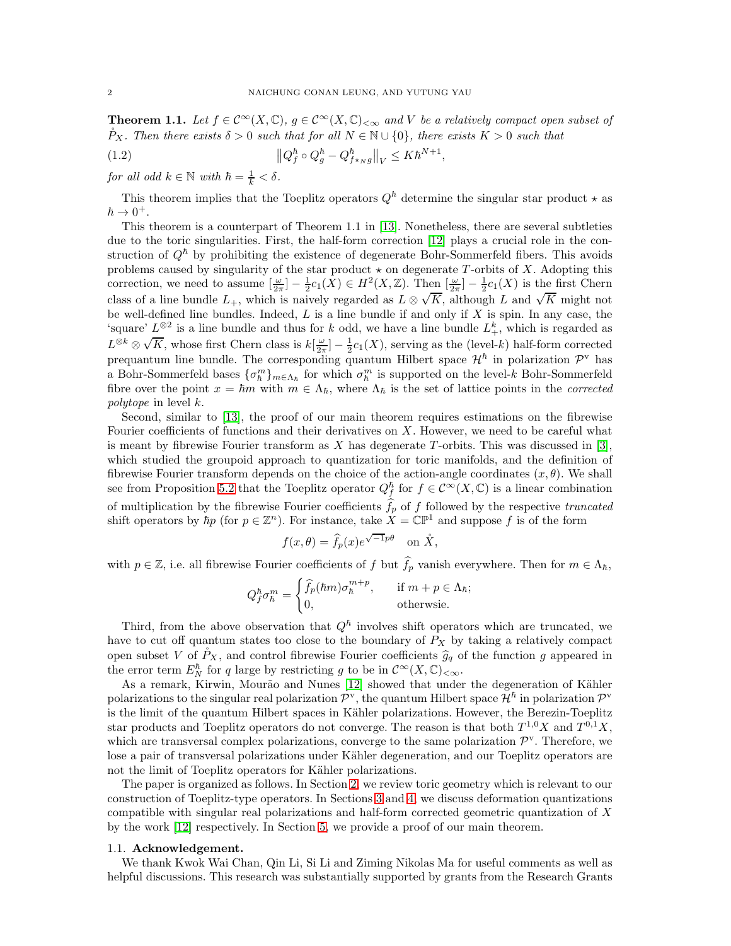<span id="page-1-0"></span>**Theorem 1.1.** Let  $f \in C^{\infty}(X, \mathbb{C})$ ,  $g \in C^{\infty}(X, \mathbb{C})_{<\infty}$  and V be a relatively compact open subset of  $\mathring{P}_X$ . Then there exists  $\delta > 0$  such that for all  $N \in \mathbb{N} \cup \{0\}$ , there exists  $K > 0$  such that

,

(1.2) 
$$
\left\|Q_f^{\hbar} \circ Q_g^{\hbar} - Q_{f \star_N g}^{\hbar}\right\|_V \leq K \hbar^{N+1}
$$

for all odd  $k \in \mathbb{N}$  with  $\hbar = \frac{1}{k} < \delta$ .

This theorem implies that the Toeplitz operators  $Q<sup>h</sup>$  determine the singular star product  $\star$  as  $\hbar \rightarrow 0^+$ .

This theorem is a counterpart of Theorem 1.1 in [\[13\]](#page-15-2). Nonetheless, there are several subtleties due to the toric singularities. First, the half-form correction [\[12\]](#page-15-10) plays a crucial role in the construction of  $Q^{\hbar}$  by prohibiting the existence of degenerate Bohr-Sommerfeld fibers. This avoids problems caused by singularity of the star product  $\star$  on degenerate T-orbits of X. Adopting this correction, we need to assume  $\left[\frac{\omega}{2\pi}\right] - \frac{1}{2}c_1(X) \in H^2(X,\mathbb{Z})$ . Then  $\left[\frac{\omega}{2\pi}\right] - \frac{1}{2}c_1(X)$  is the first Chern class of a line bundle  $L_+$ , which is naively regarded as  $L \otimes \sqrt{K}$ , although L and  $\sqrt{K}$  might not be well-defined line bundles. Indeed,  $L$  is a line bundle if and only if  $X$  is spin. In any case, the 'square'  $L^{\otimes 2}$  is a line bundle and thus for k odd, we have a line bundle  $L^k_+$ , which is regarded as  $L^{\otimes k} \otimes \sqrt{K}$ , whose first Chern class is  $k[\frac{\omega}{2\pi}] - \frac{1}{2}c_1(X)$ , serving as the (level-k) half-form corrected prequantum line bundle. The corresponding quantum Hilbert space  $\mathcal{H}^{\hbar}$  in polarization  $\mathcal{P}^{\text{v}}$  has a Bohr-Sommerfeld bases  $\{\sigma_{\hbar}^m\}_{m\in\Lambda_{\hbar}}$  for which  $\sigma_{\hbar}^m$  is supported on the level-k Bohr-Sommerfeld fibre over the point  $x = \hbar m$  with  $m \in \Lambda_{\hbar}$ , where  $\Lambda_{\hbar}$  is the set of lattice points in the *corrected* polytope in level k.

Second, similar to [\[13\]](#page-15-2), the proof of our main theorem requires estimations on the fibrewise Fourier coefficients of functions and their derivatives on X. However, we need to be careful what is meant by fibrewise Fourier transform as  $X$  has degenerate T-orbits. This was discussed in [\[3\]](#page-15-11), which studied the groupoid approach to quantization for toric manifolds, and the definition of fibrewise Fourier transform depends on the choice of the action-angle coordinates  $(x, \theta)$ . We shall see from Proposition [5.2](#page-10-0) that the Toeplitz operator  $Q_f^{\hbar}$  for  $f \in C^{\infty}(X, \mathbb{C})$  is a linear combination of multiplication by the fibrewise Fourier coefficients  $f_p$  of f followed by the respective truncated shift operators by  $\hbar p$  (for  $p \in \mathbb{Z}^n$ ). For instance, take  $X = \mathbb{CP}^1$  and suppose f is of the form

$$
f(x,\theta) = \hat{f}_p(x)e^{\sqrt{-1}p\theta} \quad \text{on } \mathring{X},
$$

with  $p \in \mathbb{Z}$ , i.e. all fibrewise Fourier coefficients of f but  $\widehat{f}_p$  vanish everywhere. Then for  $m \in \Lambda_h$ ,

$$
Q_f^{\hbar} \sigma_{\hbar}^m = \begin{cases} \widehat{f}_p(\hbar m) \sigma_{\hbar}^{m+p}, & \text{if } m+p \in \Lambda_{\hbar}; \\ 0, & \text{otherwise.} \end{cases}
$$

Third, from the above observation that  $Q^{\hbar}$  involves shift operators which are truncated, we have to cut off quantum states too close to the boundary of  $P_X$  by taking a relatively compact open subset V of  $P_X$ , and control fibrewise Fourier coefficients  $\hat{g}_q$  of the function g appeared in the error term  $E_N^{\hbar}$  for q large by restricting g to be in  $\mathcal{C}^{\infty}(X,\mathbb{C})$ ,  $\infty$ .

As a remark, Kirwin, Mourão and Nunes [\[12\]](#page-15-10) showed that under the degeneration of Kähler polarizations to the singular real polarization  $\mathcal{P}^{\mathbf{v}}$ , the quantum Hilbert space  $\mathcal{H}^{\hbar}$  in polarization  $\mathcal{P}^{\mathbf{v}}$ is the limit of the quantum Hilbert spaces in Kähler polarizations. However, the Berezin-Toeplitz star products and Toeplitz operators do not converge. The reason is that both  $T^{1,0}X$  and  $T^{0,1}X$ , which are transversal complex polarizations, converge to the same polarization  $\mathcal{P}^{\mathbf{v}}$ . Therefore, we lose a pair of transversal polarizations under Kähler degeneration, and our Toeplitz operators are not the limit of Toeplitz operators for Kähler polarizations.

The paper is organized as follows. In Section [2,](#page-2-0) we review toric geometry which is relevant to our construction of Toeplitz-type operators. In Sections [3](#page-5-0) and [4,](#page-6-0) we discuss deformation quantizations compatible with singular real polarizations and half-form corrected geometric quantization of X by the work [\[12\]](#page-15-10) respectively. In Section [5,](#page-8-0) we provide a proof of our main theorem.

#### 1.1. Acknowledgement.

We thank Kwok Wai Chan, Qin Li, Si Li and Ziming Nikolas Ma for useful comments as well as helpful discussions. This research was substantially supported by grants from the Research Grants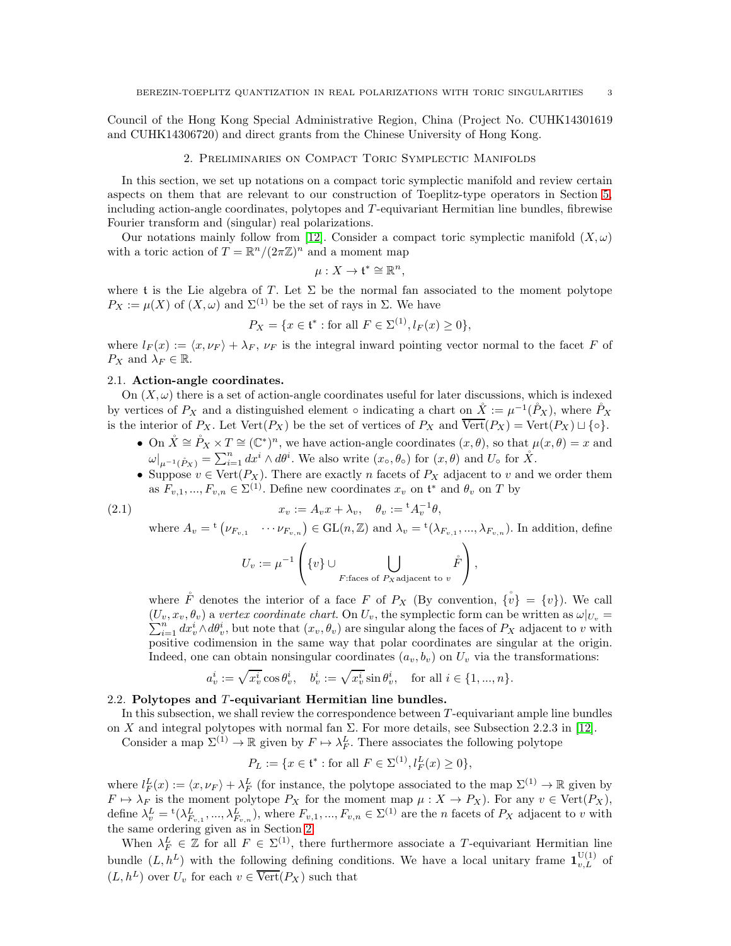<span id="page-2-0"></span>Council of the Hong Kong Special Administrative Region, China (Project No. CUHK14301619 and CUHK14306720) and direct grants from the Chinese University of Hong Kong.

### 2. Preliminaries on Compact Toric Symplectic Manifolds

In this section, we set up notations on a compact toric symplectic manifold and review certain aspects on them that are relevant to our construction of Toeplitz-type operators in Section [5,](#page-8-0) including action-angle coordinates, polytopes and  $T$ -equivariant Hermitian line bundles, fibrewise Fourier transform and (singular) real polarizations.

Our notations mainly follow from [\[12\]](#page-15-10). Consider a compact toric symplectic manifold  $(X, \omega)$ with a toric action of  $T = \mathbb{R}^n/(2\pi\mathbb{Z})^n$  and a moment map

$$
\mu:X\to \mathfrak{t}^*\cong \mathbb{R}^n,
$$

where t is the Lie algebra of T. Let  $\Sigma$  be the normal fan associated to the moment polytope  $P_X := \mu(X)$  of  $(X, \omega)$  and  $\Sigma^{(1)}$  be the set of rays in  $\Sigma$ . We have

$$
P_X = \{ x \in \mathfrak{t}^* : \text{for all } F \in \Sigma^{(1)}, l_F(x) \ge 0 \},
$$

where  $l_F(x) := \langle x, \nu_F \rangle + \lambda_F$ ,  $\nu_F$  is the integral inward pointing vector normal to the facet F of  $P_X$  and  $\lambda_F \in \mathbb{R}$ .

### 2.1. Action-angle coordinates.

where

On  $(X, \omega)$  there is a set of action-angle coordinates useful for later discussions, which is indexed by vertices of  $P_X$  and a distinguished element  $\circ$  indicating a chart on  $\mathring{X} := \mu^{-1}(\mathring{P}_X)$ , where  $\mathring{P}_X$ is the interior of  $P_X$ . Let  $Vert(P_X)$  be the set of vertices of  $P_X$  and  $\overline{Vert}(P_X) = \text{Vert}(P_X) \sqcup \{ \circ \}.$ 

- On  $\mathring{X} \cong \mathring{P}_X \times T \cong (\mathbb{C}^*)^n$ , we have action-angle coordinates  $(x, \theta)$ , so that  $\mu(x, \theta) = x$  and  $\omega|_{\mu^{-1}(\mathring{P}_X)} = \sum_{i=1}^n dx^i \wedge d\theta^i$ . We also write  $(x_0, \theta_0)$  for  $(x, \theta)$  and  $U_0$  for  $\mathring{X}$ .
- Suppose  $v \in \text{Vert}(P_X)$ . There are exactly n facets of  $P_X$  adjacent to v and we order them as  $F_{v,1},..., F_{v,n} \in \Sigma^{(1)}$ . Define new coordinates  $x_v$  on  $\mathfrak{t}^*$  and  $\theta_v$  on T by

v

(2.1) 
$$
x_v := A_v x + \lambda_v, \quad \theta_v := {}^{\mathsf{t}} A_v^{-1} \theta,
$$
  
where  $A_v = {}^{\mathsf{t}} (\nu_{F_{v,1}} \cdots \nu_{F_{v,n}}) \in \mathrm{GL}(n, \mathbb{Z})$  and  $\lambda_v = {}^{\mathsf{t}} (\lambda_{F_{v,1}}, \ldots, \lambda_{F_{v,n}})$ . In addition, define

<span id="page-2-1"></span>
$$
U_v := \mu^{-1}\left(\{v\} \cup \bigcup_{F: \text{faces of } P_X \text{ adjacent to } v} \mathring{F}\right),\,
$$

where  $\mathring{F}$  denotes the interior of a face F of  $P_X$  (By convention,  $\{\mathring{v}\} = \{v\}$ ). We call  $(U_v, x_v, \theta_v)$  a vertex coordinate chart. On  $U_v$ , the symplectic form can be written as  $\omega|_{U_v} =$  $\sum_{i=1}^n dx_v^i \wedge d\theta_v^i$ , but note that  $(x_v, \theta_v)$  are singular along the faces of  $P_X$  adjacent to v with positive codimension in the same way that polar coordinates are singular at the origin. Indeed, one can obtain nonsingular coordinates  $(a_v, b_v)$  on  $U_v$  via the transformations:

$$
a_v^i:=\sqrt{x_v^i}\cos\theta_v^i,\quad b_v^i:=\sqrt{x_v^i}\sin\theta_v^i,\quad\text{for all }i\in\{1,...,n\}.
$$

#### <span id="page-2-2"></span>2.2. Polytopes and T-equivariant Hermitian line bundles.

In this subsection, we shall review the correspondence between T -equivariant ample line bundles on X and integral polytopes with normal fan  $\Sigma$ . For more details, see Subsection 2.2.3 in [\[12\]](#page-15-10).

Consider a map  $\Sigma^{(1)} \to \mathbb{R}$  given by  $F \mapsto \lambda_F^L$ . There associates the following polytope

$$
P_L := \{ x \in \mathfrak{t}^* : \text{for all } F \in \Sigma^{(1)}, l_F^L(x) \ge 0 \},
$$

where  $l_F^L(x) := \langle x, \nu_F \rangle + \lambda_F^L$  (for instance, the polytope associated to the map  $\Sigma^{(1)} \to \mathbb{R}$  given by  $F \mapsto \lambda_F$  is the moment polytope  $P_X$  for the moment map  $\mu : X \to P_X$ ). For any  $v \in \text{Vert}(P_X)$ , define  $\lambda_v^L = {}^{\rm t}(\lambda_{F_{v,1}}^L, ..., \lambda_{F_{v,n}}^L)$ , where  $F_{v,1}, ..., F_{v,n} \in \Sigma^{(1)}$  are the *n* facets of  $P_X$  adjacent to *v* with the same ordering given as in Section [2.](#page-2-0)

When  $\lambda_F^L \in \mathbb{Z}$  for all  $F \in \Sigma^{(1)}$ , there furthermore associate a T-equivariant Hermitian line bundle  $(L, h^L)$  with the following defining conditions. We have a local unitary frame  $\mathbf{1}_{v,L}^{U(1)}$  of  $(L, h^L)$  over  $U_v$  for each  $v \in \overline{\text{Vert}}(P_X)$  such that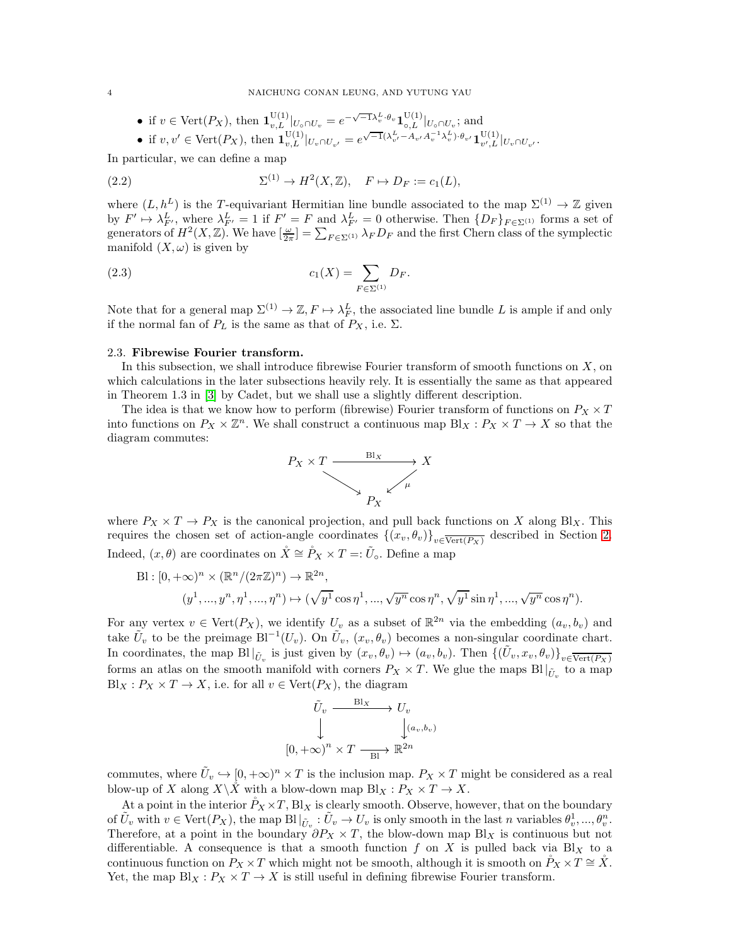• if 
$$
v \in \text{Vert}(P_X)
$$
, then  $\mathbf{1}_{v,L}^{U(1)}|_{U_0 \cap U_v} = e^{-\sqrt{-1}\lambda_v^L \cdot \theta_v} \mathbf{1}_{\circ,L}^{U(1)}|_{U_0 \cap U_v}$ ; and

• if 
$$
v, v' \in \text{Vert}(P_X)
$$
, then  $\mathbf{1}_{v,L}^{\text{U}(1)}|_{U_v \cap U_{v'}} = e^{\sqrt{-1}(\lambda_{v'}^L - A_{v'} A_v^{-1} \lambda_v^L) \cdot \theta_{v'}} \mathbf{1}_{v',L}^{\text{U}(1)}|_{U_v \cap U_{v'}}.$ 

In particular, we can define a map

(2.2) 
$$
\Sigma^{(1)} \to H^2(X, \mathbb{Z}), \quad F \mapsto D_F := c_1(L),
$$

where  $(L, h^L)$  is the T-equivariant Hermitian line bundle associated to the map  $\Sigma^{(1)} \to \mathbb{Z}$  given by  $F' \mapsto \lambda_{F'}^L$ , where  $\lambda_{F'}^L = 1$  if  $F' = F$  and  $\lambda_{F'}^L = 0$  otherwise. Then  $\{D_F\}_{F \in \Sigma^{(1)}}$  forms a set of generators of  $H^2(X,\mathbb{Z})$ . We have  $\left[\frac{\omega}{2\pi}\right] = \sum_{F \in \Sigma^{(1)}} \lambda_F D_F$  and the first Chern class of the symplectic manifold  $(X, \omega)$  is given by

(2.3) 
$$
c_1(X) = \sum_{F \in \Sigma^{(1)}} D_F.
$$

Note that for a general map  $\Sigma^{(1)} \to \mathbb{Z}, F \mapsto \lambda_F^L$ , the associated line bundle L is ample if and only if the normal fan of  $P_L$  is the same as that of  $P_X$ , i.e.  $\Sigma$ .

### 2.3. Fibrewise Fourier transform.

In this subsection, we shall introduce fibrewise Fourier transform of smooth functions on  $X$ , on which calculations in the later subsections heavily rely. It is essentially the same as that appeared in Theorem 1.3 in [\[3\]](#page-15-11) by Cadet, but we shall use a slightly different description.

The idea is that we know how to perform (fibrewise) Fourier transform of functions on  $P_X \times T$ into functions on  $P_X \times \mathbb{Z}^n$ . We shall construct a continuous map  $Bl_X: P_X \times T \to X$  so that the diagram commutes:

<span id="page-3-0"></span>

where  $P_X \times T \to P_X$  is the canonical projection, and pull back functions on X along Bl<sub>X</sub>. This requires the chosen set of action-angle coordinates  $\{(x_v, \theta_v)\}_{v \in \overline{\text{Vert}(P_X)}}$  described in Section [2.](#page-2-0) Indeed,  $(x, \theta)$  are coordinates on  $\mathring{X} \cong \mathring{P}_X \times T =: \tilde{U}_0$ . Define a map

$$
\text{Bl}: [0, +\infty)^n \times (\mathbb{R}^n / (2\pi \mathbb{Z})^n) \to \mathbb{R}^{2n},
$$
  

$$
(y^1, ..., y^n, \eta^1, ..., \eta^n) \mapsto (\sqrt{y^1} \cos \eta^1, ..., \sqrt{y^n} \cos \eta^n, \sqrt{y^1} \sin \eta^1, ..., \sqrt{y^n} \cos \eta^n).
$$

For any vertex  $v \in \text{Vert}(P_X)$ , we identify  $U_v$  as a subset of  $\mathbb{R}^{2n}$  via the embedding  $(a_v, b_v)$  and take  $\tilde{U}_v$  to be the preimage  $Bl^{-1}(U_v)$ . On  $\tilde{U}_v$ ,  $(x_v, \theta_v)$  becomes a non-singular coordinate chart. In coordinates, the map  $Bl|_{\tilde{U}_v}$  is just given by  $(x_v, \theta_v) \mapsto (a_v, b_v)$ . Then  $\{(\tilde{U}_v, x_v, \theta_v)\}_{v \in \overline{\text{Vert}(P_X)}}$ forms an atlas on the smooth manifold with corners  $P_X \times T$ . We glue the maps  $Bl|_{\tilde{U}_v}$  to a map  $Bl_X: P_X \times T \to X$ , i.e. for all  $v \in \text{Vert}(P_X)$ , the diagram

$$
\begin{aligned}\n\tilde{U}_v &\xrightarrow{\text{Bl}_X} U_v \\
\downarrow \qquad \qquad \downarrow (a_v, b_v) \\
\left[0, +\infty\right)^n &\times T &\xrightarrow{\text{Bl}^n} \mathbb{R}^{2n}\n\end{aligned}
$$

commutes, where  $\tilde{U}_v \hookrightarrow [0, +\infty)^n \times T$  is the inclusion map.  $P_X \times T$  might be considered as a real blow-up of X along  $X\backslash X$  with a blow-down map  $Bl_X: P_X \times T \to X$ .

At a point in the interior  $P_X \times T$ , Bl<sub>X</sub> is clearly smooth. Observe, however, that on the boundary of  $\tilde{U}_v$  with  $v \in \text{Vert}(P_X)$ , the map  $\text{Bl}|_{\tilde{U}_v} : \tilde{U}_v \to U_v$  is only smooth in the last n variables  $\theta_v^1, ..., \theta_v^n$ . Therefore, at a point in the boundary  $\partial P_X \times T$ , the blow-down map Bl<sub>X</sub> is continuous but not differentiable. A consequence is that a smooth function f on X is pulled back via Bl<sub>X</sub> to a continuous function on  $P_X \times T$  which might not be smooth, although it is smooth on  $\tilde{P}_X \times T \cong \tilde{X}$ . Yet, the map  $Bl_X: P_X \times T \to X$  is still useful in defining fibrewise Fourier transform.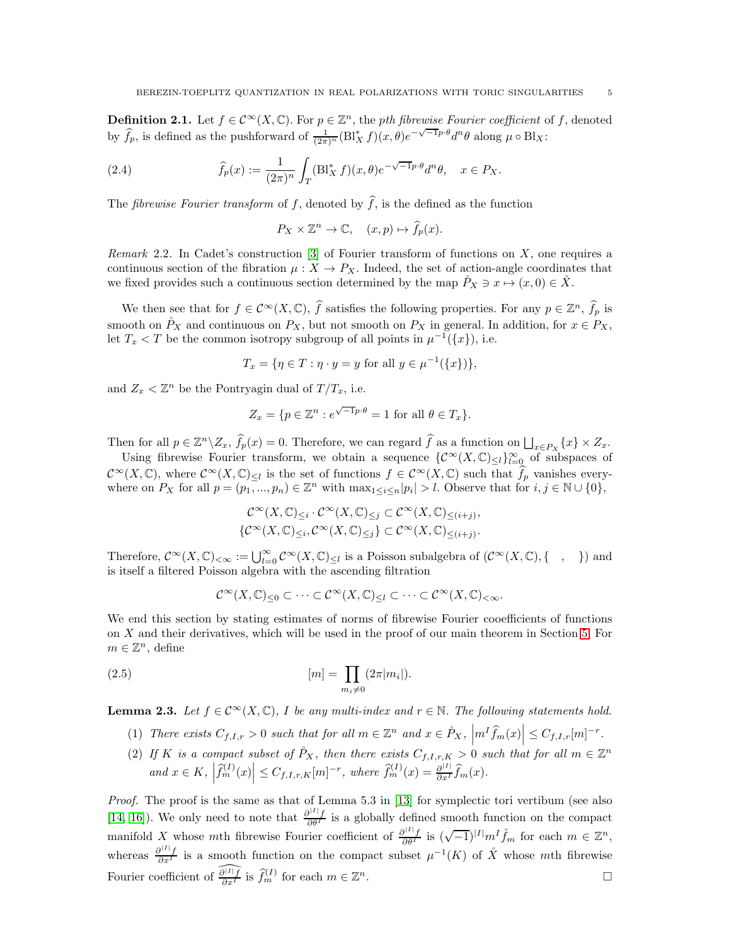**Definition 2.1.** Let  $f \in C^{\infty}(X, \mathbb{C})$ . For  $p \in \mathbb{Z}^n$ , the *pth fibrewise Fourier coefficient* of f, denoted by  $\hat{f}_p$ , is defined as the pushforward of  $\frac{1}{(2\pi)^n}(\text{Bl}_X^* f)(x,\theta)e^{-\sqrt{-1}p\cdot\theta}d^n\theta$  along  $\mu \circ \text{Bl}_X$ :

(2.4) 
$$
\widehat{f}_p(x) := \frac{1}{(2\pi)^n} \int_T (\text{Bl}_X^* f)(x, \theta) e^{-\sqrt{-1}p \cdot \theta} d^n \theta, \quad x \in P_X.
$$

The *fibrewise Fourier transform* of f, denoted by  $\hat{f}$ , is the defined as the function

$$
P_X \times \mathbb{Z}^n \to \mathbb{C}, \quad (x, p) \mapsto \widehat{f}_p(x).
$$

Remark 2.2. In Cadet's construction  $[3]$  of Fourier transform of functions on X, one requires a continuous section of the fibration  $\mu: X \to P_X$ . Indeed, the set of action-angle coordinates that we fixed provides such a continuous section determined by the map  $\tilde{P}_X \ni x \mapsto (x, 0) \in \tilde{X}$ .

We then see that for  $f \in C^{\infty}(X, \mathbb{C})$ ,  $\widehat{f}$  satisfies the following properties. For any  $p \in \mathbb{Z}^n$ ,  $\widehat{f}_p$  is smooth on  $\mathring{P}_X$  and continuous on  $P_X$ , but not smooth on  $P_X$  in general. In addition, for  $x \in P_X$ , let  $T_x < T$  be the common isotropy subgroup of all points in  $\mu^{-1}(\lbrace x \rbrace)$ , i.e.

$$
T_x = \{ \eta \in T : \eta \cdot y = y \text{ for all } y \in \mu^{-1}(\{x\}) \},
$$

and  $Z_x < \mathbb{Z}^n$  be the Pontryagin dual of  $T/T_x$ , i.e.

$$
Z_x = \{ p \in \mathbb{Z}^n : e^{\sqrt{-1}p \cdot \theta} = 1 \text{ for all } \theta \in T_x \}.
$$

Then for all  $p \in \mathbb{Z}^n \setminus Z_x$ ,  $\widehat{f}_p(x) = 0$ . Therefore, we can regard  $\widehat{f}$  as a function on  $\bigsqcup_{x \in P_X} \{x\} \times Z_x$ .

Using fibrewise Fourier transform, we obtain a sequence  $\{\mathcal{C}^{\infty}(X,\mathbb{C})_{\leq l}\}_{l=0}^{\infty}$  of subspaces of  $\mathcal{C}^{\infty}(X,\mathbb{C})$ , where  $\mathcal{C}^{\infty}(X,\mathbb{C})_{\leq l}$  is the set of functions  $f \in \mathcal{C}^{\infty}(X,\mathbb{C})$  such that  $\widehat{f}_p$  vanishes everywhere on  $P_X$  for all  $p = (p_1, ..., p_n) \in \mathbb{Z}^n$  with  $\max_{1 \leq i \leq n} |p_i| > l$ . Observe that for  $i, j \in \mathbb{N} \cup \{0\}$ ,

$$
\mathcal{C}^{\infty}(X,\mathbb{C})_{\leq i} \cdot \mathcal{C}^{\infty}(X,\mathbb{C})_{\leq j} \subset \mathcal{C}^{\infty}(X,\mathbb{C})_{\leq (i+j)},
$$
  

$$
\{\mathcal{C}^{\infty}(X,\mathbb{C})_{\leq i},\mathcal{C}^{\infty}(X,\mathbb{C})_{\leq j}\} \subset \mathcal{C}^{\infty}(X,\mathbb{C})_{\leq (i+j)}.
$$

Therefore,  $\mathcal{C}^{\infty}(X,\mathbb{C})_{<\infty} := \bigcup_{l=0}^{\infty} \mathcal{C}^{\infty}(X,\mathbb{C})_{\leq l}$  is a Poisson subalgebra of  $(\mathcal{C}^{\infty}(X,\mathbb{C}),\{-, \}]$  and is itself a filtered Poisson algebra with the ascending filtration

<span id="page-4-1"></span>
$$
\mathcal{C}^\infty(X,\mathbb{C})_{\leq 0}\subset\cdots\subset\mathcal{C}^\infty(X,\mathbb{C})_{\leq l}\subset\cdots\subset\mathcal{C}^\infty(X,\mathbb{C})_{<\infty}.
$$

We end this section by stating estimates of norms of fibrewise Fourier cooefficients of functions on X and their derivatives, which will be used in the proof of our main theorem in Section [5.](#page-8-0) For  $m \in \mathbb{Z}^n$ , define

(2.5) 
$$
[m] = \prod_{m_i \neq 0} (2\pi |m_i|).
$$

<span id="page-4-0"></span>**Lemma 2.3.** Let  $f \in C^{\infty}(X, \mathbb{C})$ , I be any multi-index and  $r \in \mathbb{N}$ . The following statements hold.

- (1) There exists  $C_{f,I,r} > 0$  such that for all  $m \in \mathbb{Z}^n$  and  $x \in \overset{\circ}{P}_X$ ,  $\left|m^I \widehat{f}_m(x)\right| \leq C_{f,I,r}[m]^{-r}$ .
- (2) If K is a compact subset of  $\Pr_X$ , then there exists  $C_{f,I,r,K} > 0$  such that for all  $m \in \mathbb{Z}^n$ and  $x \in K$ ,  $\left| \widehat{f}_m^{(I)}(x) \right| \leq C_{f,I,r,K}[m]^{-r}$ , where  $\widehat{f}_m^{(I)}(x) = \frac{\partial^{|I|}}{\partial x^I} \widehat{f}_m(x)$ .

Proof. The proof is the same as that of Lemma 5.3 in [\[13\]](#page-15-2) for symplectic tori vertibum (see also [\[14,](#page-15-12) [16\]](#page-15-13)). We only need to note that  $\frac{\partial^{|I|} f}{\partial \theta^I}$  is a globally defined smooth function on the compact manifold X whose mth fibrewise Fourier coefficient of  $\frac{\partial^{|I|} f}{\partial \theta^I}$  is  $(\sqrt{-1})^{|I|} m^I \hat{f}_m$  for each  $m \in \mathbb{Z}^n$ , whereas  $\frac{\partial^{|I|} f}{\partial x^I}$  is a smooth function on the compact subset  $\mu^{-1}(K)$  of  $\mathring{X}$  whose mth fibrewise Fourier coefficient of  $\widehat{\frac{\partial^{[1]} f}{\partial x^I}}$  is  $\widehat{f}_m^{(I)}$  for each  $m \in \mathbb{Z}$  $n$ .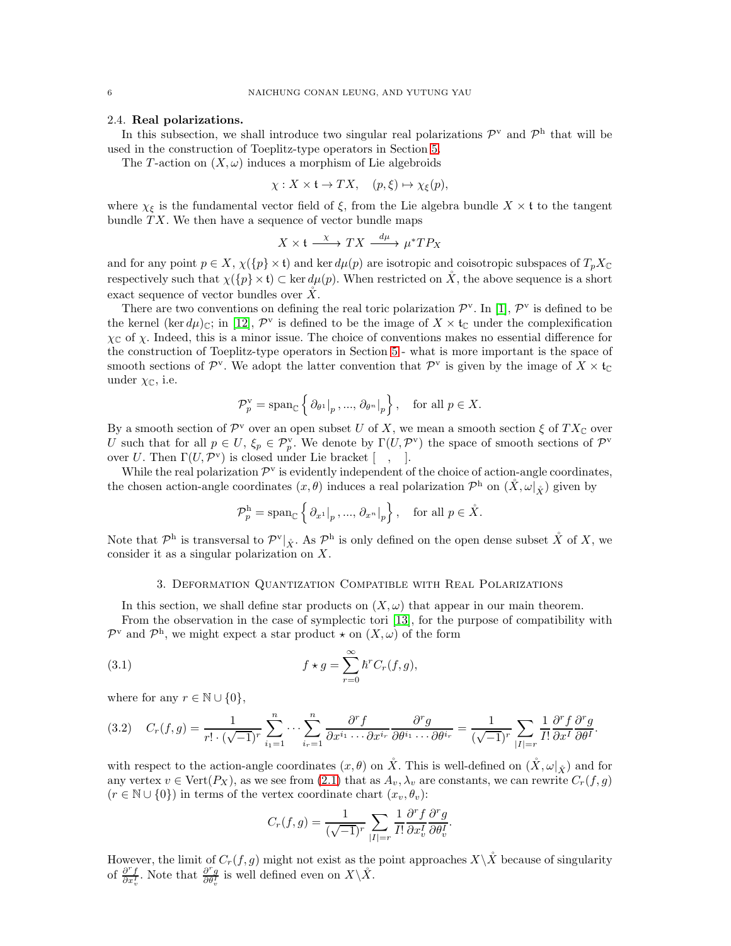#### 2.4. Real polarizations.

In this subsection, we shall introduce two singular real polarizations  $\mathcal{P}^{\mathbf{v}}$  and  $\mathcal{P}^{\mathbf{h}}$  that will be used in the construction of Toeplitz-type operators in Section [5.](#page-8-0)

The T-action on  $(X, \omega)$  induces a morphism of Lie algebroids

$$
\chi: X \times \mathfrak{t} \to TX, \quad (p, \xi) \mapsto \chi_{\xi}(p),
$$

where  $\chi_{\xi}$  is the fundamental vector field of  $\xi$ , from the Lie algebra bundle  $X \times \mathfrak{t}$  to the tangent bundle  $TX$ . We then have a sequence of vector bundle maps

$$
X \times \mathfrak{t} \xrightarrow{\chi} TX \xrightarrow{d\mu} \mu^* T P_X
$$

and for any point  $p \in X$ ,  $\chi({p} \times {\mathfrak{t}})$  and ker  $d\mu(p)$  are isotropic and coisotropic subspaces of  $T_pX_c$ respectively such that  $\chi(\{p\} \times \mathfrak{t}) \subset \ker d\mu(p)$ . When restricted on  $\check{X}$ , the above sequence is a short exact sequence of vector bundles over  $\check{X}$ .

There are two conventions on defining the real toric polarization  $\mathcal{P}^{\mathbf{v}}$ . In [\[1\]](#page-15-14),  $\mathcal{P}^{\mathbf{v}}$  is defined to be the kernel (ker  $d\mu$ )<sub>C</sub>; in [\[12\]](#page-15-10),  $\mathcal{P}^{\text{v}}$  is defined to be the image of  $X \times \mathfrak{t}_{\mathbb{C}}$  under the complexification  $\chi_{\mathbb{C}}$  of  $\chi$ . Indeed, this is a minor issue. The choice of conventions makes no essential difference for the construction of Toeplitz-type operators in Section [5](#page-8-0) - what is more important is the space of smooth sections of  $\mathcal{P}^{\text{v}}$ . We adopt the latter convention that  $\mathcal{P}^{\text{v}}$  is given by the image of  $X \times \mathfrak{t}_{\mathbb{C}}$ under  $\chi_{\mathbb{C}}$ , i.e.

$$
\mathcal{P}_p^{\text{v}} = \text{span}_{\mathbb{C}} \left\{ \left. \partial_{\theta^1} \right|_p, ..., \left. \partial_{\theta^n} \right|_p \right\}, \quad \text{for all } p \in X.
$$

By a smooth section of  $\mathcal{P}^{\text{v}}$  over an open subset U of X, we mean a smooth section  $\xi$  of  $TX_{\mathbb{C}}$  over U such that for all  $p \in U$ ,  $\xi_p \in \mathcal{P}_p^{\mathbf{v}}$ . We denote by  $\Gamma(U, \mathcal{P}^{\mathbf{v}})$  the space of smooth sections of  $\mathcal{P}^{\mathbf{v}}$ over U. Then  $\Gamma(U, \mathcal{P}^{\mathbf{v}})$  is closed under Lie bracket [, , ].

While the real polarization  $\mathcal{P}^{\mathbf{v}}$  is evidently independent of the choice of action-angle coordinates, the chosen action-angle coordinates  $(x, \theta)$  induces a real polarization  $\mathcal{P}^{\rm h}$  on  $(\mathring{X}, \omega|_{\mathring{X}})$  given by

$$
\mathcal{P}_p^{\mathrm{h}} = \mathrm{span}_{\mathbb{C}} \left\{ \left. \partial_{x^1} \right|_p, \ldots, \left. \partial_{x^n} \right|_p \right\}, \quad \text{for all } p \in \mathring{X}.
$$

<span id="page-5-0"></span>Note that  $\mathcal{P}^h$  is transversal to  $\mathcal{P}^v|_{\hat{X}}$ . As  $\mathcal{P}^h$  is only defined on the open dense subset  $\hat{X}$  of X, we consider it as a singular polarization on X.

# 3. Deformation Quantization Compatible with Real Polarizations

In this section, we shall define star products on  $(X, \omega)$  that appear in our main theorem.

From the observation in the case of symplectic tori [\[13\]](#page-15-2), for the purpose of compatibility with  $\mathcal{P}^{\mathbf{v}}$  and  $\mathcal{P}^{\mathbf{h}}$ , we might expect a star product  $\star$  on  $(X,\omega)$  of the form

(3.1) 
$$
f \star g = \sum_{r=0}^{\infty} \hbar^r C_r(f, g),
$$

where for any  $r \in \mathbb{N} \cup \{0\},\$ 

<span id="page-5-1"></span>
$$
(3.2) \quad C_r(f,g) = \frac{1}{r! \cdot (\sqrt{-1})^r} \sum_{i_1=1}^n \cdots \sum_{i_r=1}^n \frac{\partial^r f}{\partial x^{i_1} \cdots \partial x^{i_r}} \frac{\partial^r g}{\partial \theta^{i_1} \cdots \partial \theta^{i_r}} = \frac{1}{(\sqrt{-1})^r} \sum_{|I|=r} \frac{1}{I!} \frac{\partial^r f}{\partial x^I} \frac{\partial^r g}{\partial \theta^I}.
$$

with respect to the action-angle coordinates  $(x, \theta)$  on  $\mathring{X}$ . This is well-defined on  $(\mathring{X}, \omega|_{\mathring{X}})$  and for any vertex  $v \in \text{Vert}(P_X)$ , as we see from [\(2.1\)](#page-2-1) that as  $A_v, \lambda_v$  are constants, we can rewrite  $C_r(f, g)$  $(r \in \mathbb{N} \cup \{0\})$  in terms of the vertex coordinate chart  $(x_v, \theta_v)$ :

$$
C_r(f,g) = \frac{1}{(\sqrt{-1})^r} \sum_{|I|=r} \frac{1}{I!} \frac{\partial^r f}{\partial x_v^I} \frac{\partial^r g}{\partial \theta_v^I}.
$$

However, the limit of  $C_r(f,g)$  might not exist as the point approaches  $X\setminus\tilde{X}$  because of singularity of  $\frac{\partial^r f}{\partial x_v^T}$ . Note that  $\frac{\partial^r g}{\partial \theta_v^T}$  is well defined even on  $X \backslash \mathring{X}$ .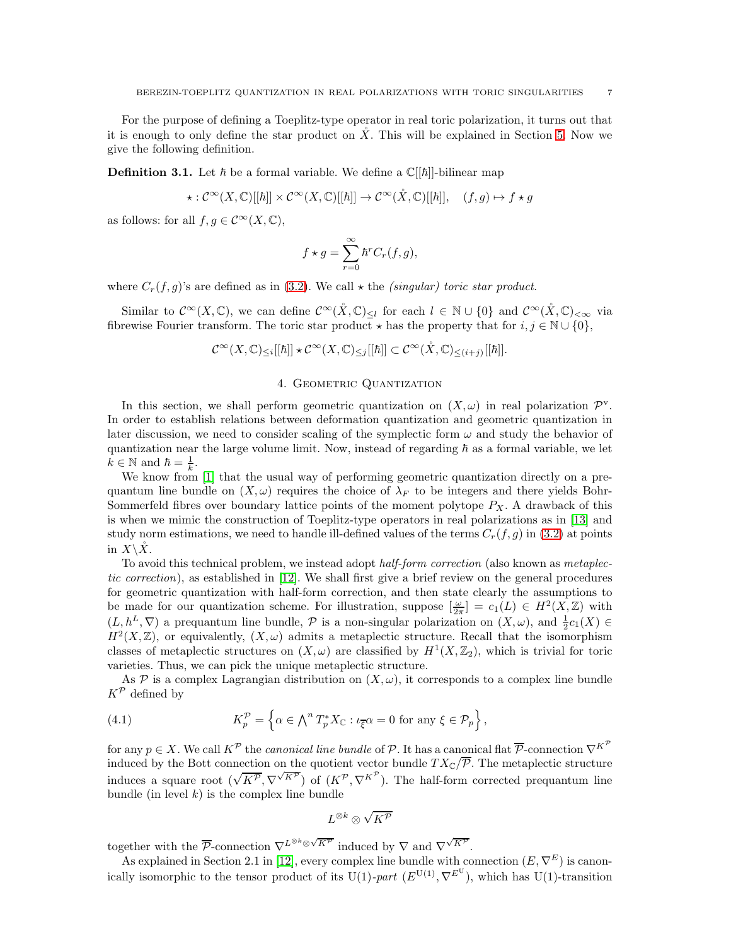For the purpose of defining a Toeplitz-type operator in real toric polarization, it turns out that it is enough to only define the star product on  $\tilde{X}$ . This will be explained in Section [5.](#page-8-0) Now we give the following definition.

**Definition 3.1.** Let  $\hbar$  be a formal variable. We define a  $\mathbb{C}[[\hbar]]$ -bilinear map

$$
\star: \mathcal{C}^\infty(X,\mathbb{C})[[\hbar]]\times \mathcal{C}^\infty(X,\mathbb{C})[[\hbar]]\to \mathcal{C}^\infty(X,\mathbb{C})[[\hbar]],\quad (f,g)\mapsto f\star g
$$

as follows: for all  $f, g \in C^{\infty}(X, \mathbb{C}),$ 

$$
f \star g = \sum_{r=0}^{\infty} \hbar^r C_r(f, g),
$$

where  $C_r(f,g)$ 's are defined as in [\(3.2\)](#page-5-1). We call  $\star$  the *(singular) toric star product.* 

Similar to  $\mathcal{C}^{\infty}(X,\mathbb{C})$ , we can define  $\mathcal{C}^{\infty}(\mathring{X},\mathbb{C})_{\leq l}$  for each  $l \in \mathbb{N} \cup \{0\}$  and  $\mathcal{C}^{\infty}(\mathring{X},\mathbb{C})_{\leq \infty}$  via fibrewise Fourier transform. The toric star product  $\star$  has the property that for  $i, j \in \mathbb{N} \cup \{0\}$ ,

$$
\mathcal{C}^\infty(X,\mathbb{C})_{\leq i}[[\hbar]]\star \mathcal{C}^\infty(X,\mathbb{C})_{\leq j}[[\hbar]]\subset \mathcal{C}^\infty(\mathring{X},\mathbb{C})_{\leq (i+j)}[[\hbar]].
$$

#### 4. GEOMETRIC QUANTIZATION

<span id="page-6-0"></span>In this section, we shall perform geometric quantization on  $(X, \omega)$  in real polarization  $\mathcal{P}^{\vee}$ . In order to establish relations between deformation quantization and geometric quantization in later discussion, we need to consider scaling of the symplectic form  $\omega$  and study the behavior of quantization near the large volume limit. Now, instead of regarding  $\hbar$  as a formal variable, we let  $k \in \mathbb{N}$  and  $\hbar = \frac{1}{k}$ .

We know from [\[1\]](#page-15-14) that the usual way of performing geometric quantization directly on a prequantum line bundle on  $(X,\omega)$  requires the choice of  $\lambda_F$  to be integers and there yields Bohr-Sommerfeld fibres over boundary lattice points of the moment polytope  $P_X$ . A drawback of this is when we mimic the construction of Toeplitz-type operators in real polarizations as in [\[13\]](#page-15-2) and study norm estimations, we need to handle ill-defined values of the terms  $C_r(f, g)$  in [\(3.2\)](#page-5-1) at points in  $X\backslash X$ .

To avoid this technical problem, we instead adopt *half-form correction* (also known as *metaplec*tic correction), as established in [\[12\]](#page-15-10). We shall first give a brief review on the general procedures for geometric quantization with half-form correction, and then state clearly the assumptions to be made for our quantization scheme. For illustration, suppose  $\left[\frac{\omega}{2\pi}\right] = c_1(L) \in H^2(X,\mathbb{Z})$  with  $(L, h^L, \nabla)$  a prequantum line bundle,  $P$  is a non-singular polarization on  $(X, \omega)$ , and  $\frac{1}{2}c_1(X) \in$  $H^2(X,\mathbb{Z})$ , or equivalently,  $(X,\omega)$  admits a metaplectic structure. Recall that the isomorphism classes of metaplectic structures on  $(X, \omega)$  are classified by  $H^1(X, \mathbb{Z}_2)$ , which is trivial for toric varieties. Thus, we can pick the unique metaplectic structure.

As P is a complex Lagrangian distribution on  $(X, \omega)$ , it corresponds to a complex line bundle  $K^{\mathcal{P}}$  defined by

<span id="page-6-1"></span>(4.1) 
$$
K_p^{\mathcal{P}} = \left\{ \alpha \in \bigwedge^n T_p^* X_{\mathbb{C}} : \iota_{\overline{\xi}} \alpha = 0 \text{ for any } \xi \in \mathcal{P}_p \right\},
$$

for any  $p \in X$ . We call  $K^{\mathcal{P}}$  the *canonical line bundle* of  $\mathcal{P}$ . It has a canonical flat  $\overline{\mathcal{P}}$ -connection  $\nabla^{K^{\mathcal{P}}}$ induced by the Bott connection on the quotient vector bundle  $TX_{\mathbb{C}}/\overline{P}$ . The metaplectic structure induces a square root  $(\sqrt{K^p}, \nabla^{\sqrt{K^p}})$  of  $(K^p, \nabla^{K^p})$ . The half-form corrected prequantum line bundle (in level  $k$ ) is the complex line bundle

$$
L^{\otimes k}\otimes \sqrt{K^{\mathcal{P}}}
$$

together with the  $\overline{\mathcal{P}}$ -connection  $\nabla^{L^{\otimes k} \otimes \sqrt{K^{\mathcal{P}}}}$  induced by  $\nabla$  and  $\nabla^{\sqrt{K^{\mathcal{P}}}}$ .

As explained in Section 2.1 in [\[12\]](#page-15-10), every complex line bundle with connection  $(E, \nabla^E)$  is canonically isomorphic to the tensor product of its U(1)-part  $(E^{U(1)}, \nabla^{E^U})$ , which has U(1)-transition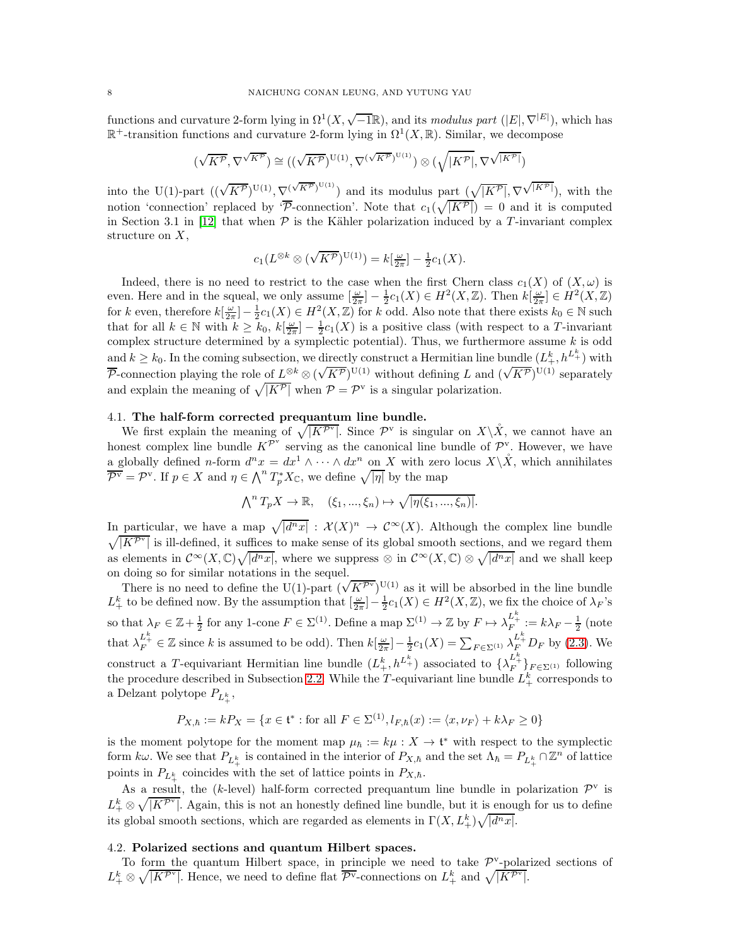functions and curvature 2-form lying in  $\Omega^1(X, \sqrt{-1}\mathbb{R})$ , and its modulus part  $(|E|, \nabla^{|E|})$ , which has  $\mathbb{R}^+$ -transition functions and curvature 2-form lying in  $\Omega^1(X,\mathbb{R})$ . Similar, we decompose

$$
(\sqrt{K^{\mathcal{P}}},\nabla^{\sqrt{K^{\mathcal{P}}}}) \cong ((\sqrt{K^{\mathcal{P}}})^{\operatorname{U}(1)},\nabla^{(\sqrt{K^{\mathcal{P}}})^{\operatorname{U}(1)}}) \otimes (\sqrt{|K^{\mathcal{P}}|},\nabla^{\sqrt{|K^{\mathcal{P}}|}})
$$

into the U(1)-part  $((\sqrt{K^{\mathcal{P}}})^{\mathrm{U}(1)}, \nabla^{(\sqrt{K^{\mathcal{P}}})^{\mathrm{U}(1)}})$  and its modulus part  $(\sqrt{|K^{\mathcal{P}}|}, \nabla^{\sqrt{|K^{\mathcal{P}}|}})$ , with the notion 'connection' replaced by  $\overline{\mathcal{P}}$ -connection'. Note that  $c_1(\sqrt{|K^{\mathcal{P}}|}) = 0$  and it is computed in Section 3.1 in [\[12\]](#page-15-10) that when  $P$  is the Kähler polarization induced by a T-invariant complex structure on X,

$$
c_1(L^{\otimes k} \otimes (\sqrt{K^{\mathcal{P}}})^{\mathrm{U}(1)}) = k[\frac{\omega}{2\pi}] - \frac{1}{2}c_1(X).
$$

Indeed, there is no need to restrict to the case when the first Chern class  $c_1(X)$  of  $(X,\omega)$  is even. Here and in the squeal, we only assume  $\left[\frac{\omega}{2\pi}\right] - \frac{1}{2}c_1(X) \in H^2(X,\mathbb{Z})$ . Then  $k\left[\frac{\omega}{2\pi}\right] \in H^2(X,\mathbb{Z})$ for k even, therefore  $k[\frac{\omega}{2\pi}] - \frac{1}{2}c_1(X) \in H^2(X,\mathbb{Z})$  for k odd. Also note that there exists  $k_0 \in \mathbb{N}$  such that for all  $k \in \mathbb{N}$  with  $k \geq k_0$ ,  $k[\frac{\omega}{2\pi}] - \frac{1}{2}c_1(X)$  is a positive class (with respect to a T-invariant complex structure determined by a symplectic potential). Thus, we furthermore assume  $k$  is odd and  $k \geq k_0$ . In the coming subsection, we directly construct a Hermitian line bundle  $(L_+^k, h^{L_+^k})$  with  $\overline{\mathcal{P}}$ -connection playing the role of  $L^{\otimes k} \otimes (\sqrt{K^{\mathcal{P}}})^{\mathbb{U}(1)}$  without defining L and  $(\sqrt{K^{\mathcal{P}}})^{\mathbb{U}(1)}$  separately and explain the meaning of  $\sqrt{|K^{\mathcal{P}}|}$  when  $\mathcal{P} = \mathcal{P}^{\text{v}}$  is a singular polarization.

### 4.1. The half-form corrected prequantum line bundle.

We first explain the meaning of  $\sqrt{|K^{\mathcal{P}^{\vee}}|}$ . Since  $\mathcal{P}^{\vee}$  is singular on  $X\backslash\mathring{X}$ , we cannot have an honest complex line bundle  $K^{\mathcal{P}^{\mathbf{v}}}$  serving as the canonical line bundle of  $\mathcal{P}^{\mathbf{v}}$ . However, we have a globally defined n-form  $d^n x = dx^1 \wedge \cdots \wedge dx^n$  on X with zero locus  $X \backslash \mathring{X}$ , which annihilates  $\overline{\mathcal{P}^{\vee}} = \mathcal{P}^{\vee}$ . If  $p \in X$  and  $\eta \in \bigwedge^{n} T_p^* X_{\mathbb{C}}$ , we define  $\sqrt{|\eta|}$  by the map

$$
\bigwedge\nolimits^n T_p X \to \mathbb{R}, \quad (\xi_1, ..., \xi_n) \mapsto \sqrt{|\eta(\xi_1, ..., \xi_n)|}.
$$

In particular, we have a map  $\sqrt{|d^n x|} : \mathcal{X}(X)^n \to \mathcal{C}^\infty(X)$ . Although the complex line bundle  $\sqrt{|K^{\mathcal{P}^{\vee}}|}$  is ill-defined, it suffices to make sense of its global smooth sections, and we regard them as elements in  $\mathcal{C}^{\infty}(X,\mathbb{C})\sqrt{|d^nx|}$ , where we suppress ⊗ in  $\mathcal{C}^{\infty}(X,\mathbb{C})\otimes\sqrt{|d^nx|}$  and we shall keep on doing so for similar notations in the sequel.

There is no need to define the U(1)-part  $(\sqrt{K^{\mathcal{P}^{\mathcal{V}}}})^{U(1)}$  as it will be absorbed in the line bundle  $L^k_+$  to be defined now. By the assumption that  $\left[\frac{\omega}{2\pi}\right] - \frac{1}{2}c_1(X) \in H^2(X,\mathbb{Z})$ , we fix the choice of  $\lambda_F$ 's so that  $\lambda_F \in \mathbb{Z} + \frac{1}{2}$  for any 1-cone  $F \in \Sigma^{(1)}$ . Define a map  $\Sigma^{(1)} \to \mathbb{Z}$  by  $F \mapsto \lambda_F^{L^k_+} := k\lambda_F - \frac{1}{2}$  (note that  $\lambda_F^{L^k_+} \in \mathbb{Z}$  since k is assumed to be odd). Then  $k[\frac{\omega}{2\pi}] - \frac{1}{2}c_1(X) = \sum_{F \in \Sigma^{(1)}} \lambda_F^{L^k_+} D_F$  by [\(2.3\)](#page-3-0). We construct a T-equivariant Hermitian line bundle  $(L_+^k, h^{L_+^k})$  associated to  $\{\lambda_F^{L_+^k}\}_{F \in \Sigma^{(1)}}$  following the procedure described in Subsection [2.2.](#page-2-2) While the T-equivariant line bundle  $L_{+}^{k}$  corresponds to a Delzant polytope $P_{L^k_+},$ 

$$
P_{X,\hbar} := kP_X = \{ x \in \mathfrak{t}^* : \text{for all } F \in \Sigma^{(1)}, l_{F,\hbar}(x) := \langle x, \nu_F \rangle + k\lambda_F \ge 0 \}
$$

is the moment polytope for the moment map  $\mu_{\hbar} := k\mu : X \to \mathfrak{t}^*$  with respect to the symplectic form kw. We see that  $P_{L^k_+}$  is contained in the interior of  $P_{X,h}$  and the set  $\Lambda_\hbar = P_{L^k_+} \cap \mathbb{Z}^n$  of lattice points in  $P_{L^k_+}$  coincides with the set of lattice points in  $P_{X,\hbar}$ .

As a result, the (k-level) half-form corrected prequantum line bundle in polarization  $\mathcal{P}^{\text{v}}$  is  $L^k_+\otimes\sqrt{|K^{\mathcal{P}^{\vee}}|}$ . Again, this is not an honestly defined line bundle, but it is enough for us to define its global smooth sections, which are regarded as elements in  $\Gamma(X, L^k_+) \sqrt{|d^n x|}$ .

#### 4.2. Polarized sections and quantum Hilbert spaces.

To form the quantum Hilbert space, in principle we need to take  $\mathcal{P}^{\mathrm{v}}$ -polarized sections of  $L^k_+ \otimes \sqrt{|K^{\mathcal{P}^{\vee}}|}$ . Hence, we need to define flat  $\overline{\mathcal{P}^{\vee}}$ -connections on  $L^k_+$  and  $\sqrt{|K^{\mathcal{P}^{\vee}}|}$ .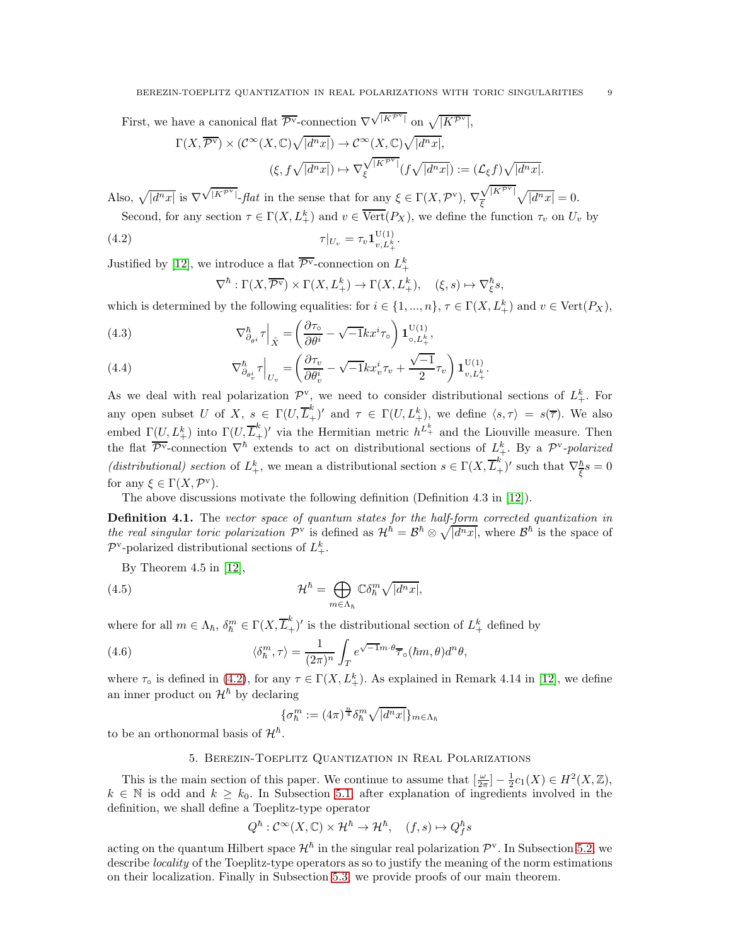First, we have a canonical flat  $\overline{\mathcal{P}^{\mathbf{v}}}$ -connection  $\nabla^{\sqrt{\left|K^{\mathcal{P}^{\mathbf{v}}}\right|}}$  on  $\sqrt{\left|K^{\mathcal{P}^{\mathbf{v}}}\right|}$ ,

$$
\Gamma(X, \overline{\mathcal{P}^{\mathbf{v}}}) \times (\mathcal{C}^{\infty}(X, \mathbb{C})\sqrt{|d^n x|}) \to \mathcal{C}^{\infty}(X, \mathbb{C})\sqrt{|d^n x|},
$$
  

$$
(\xi, f\sqrt{|d^n x|}) \mapsto \nabla_{\xi}^{\sqrt{|K^{\mathcal{P}^{\mathbf{v}}|}}}(f\sqrt{|d^n x|}) := (\mathcal{L}_{\xi}f)\sqrt{|d^n x|}.
$$

Also,  $\sqrt{|d^n x|}$  is  $\nabla \sqrt{|K^{\mathcal{PV}}|}$ -*flat* in the sense that for any  $\xi \in \Gamma(X, \mathcal{P}^{\vee})$ ,  $\nabla$  $\sqrt{|K^{\mathcal{P}^{\text{v}}}|}$  $\frac{\sqrt{|K^{\mathcal{P}^*}|}}{\xi}\sqrt{|d^n x|} = 0.$ Second, for any section  $\tau \in \Gamma(X, L^k_+)$  and  $v \in \overline{\text{Vert}}(P_X)$ , we define the function  $\tau_v$  on  $U_v$  by

(4.2) 
$$
\tau|_{U_v} = \tau_v \mathbf{1}_{v, L_+^k}^{\mathrm{U}(1)}.
$$

Justified by [\[12\]](#page-15-10), we introduce a flat  $\overline{\mathcal{P}^{\mathbf{v}}}$ -connection on  $L^k_+$ 

<span id="page-8-1"></span>
$$
\nabla^{\hbar} : \Gamma(X, \overline{\mathcal{P}^{\mathbf{v}}}) \times \Gamma(X, L_{+}^{k}) \to \Gamma(X, L_{+}^{k}), \quad (\xi, s) \mapsto \nabla_{\xi}^{\hbar} s,
$$

which is determined by the following equalities: for  $i \in \{1, ..., n\}$ ,  $\tau \in \Gamma(X, L^k_+)$  and  $v \in \text{Vert}(P_X)$ ,

(4.3) 
$$
\nabla_{\partial_{\theta}i}^{\hbar} \tau \Big|_{\mathring{X}} = \left( \frac{\partial \tau_{\circ}}{\partial \theta^{i}} - \sqrt{-1}kx^{i} \tau_{\circ} \right) \mathbf{1}_{\circ, L_{+}^{k}}^{\mathcal{U}(1)},
$$

(4.4) 
$$
\nabla_{\partial_{\theta_v^i}}^{\hbar} \tau \Big|_{U_v} = \left( \frac{\partial \tau_v}{\partial \theta_v^i} - \sqrt{-1} k x_v^i \tau_v + \frac{\sqrt{-1}}{2} \tau_v \right) \mathbf{1}_{v, L_+^k}^{U(1)}.
$$

As we deal with real polarization  $\mathcal{P}^{\rm v}$ , we need to consider distributional sections of  $L^k_+$ . For any open subset U of X,  $s \in \Gamma(U, \overline{L}_{+}^{k})'$  and  $\tau \in \Gamma(U, L_{+}^{k})$ , we define  $\langle s, \tau \rangle = s(\overline{\tau})$ . We also embed  $\Gamma(U, L_+^k)$  into  $\Gamma(U, \overline{L}_+^k)'$  via the Hermitian metric  $h^{L_+^k}$  and the Liouville measure. Then the flat  $\overline{\mathcal{P}^{\mathbf{v}}}$ -connection  $\nabla^{\hbar}$  extends to act on distributional sections of  $L^k_+$ . By a  $\mathcal{P}^{\mathbf{v}}$ -polarized (distributional) section of  $L^k_+$ , we mean a distributional section  $s \in \Gamma(X, \overline{L}^k_+)$ ' such that  $\nabla_{\overline{\xi}}^{\hbar} s = 0$ for any  $\xi \in \Gamma(X, \mathcal{P}^{\mathbf{v}})$ .

The above discussions motivate the following definition (Definition 4.3 in [\[12\]](#page-15-10)).

Definition 4.1. The vector space of quantum states for the half-form corrected quantization in the real singular toric polarization  $\mathcal{P}^{\mathbf{v}}$  is defined as  $\mathcal{H}^{\check{h}} = \mathcal{B}^{\check{h}} \otimes \sqrt{d^n x!}$ , where  $\mathcal{B}^{\check{h}}$  is the space of  $\mathcal{P}^{\mathbf{v}}$ -polarized distributional sections of  $L^k_+$ .

By Theorem 4.5 in [\[12\]](#page-15-10),

(4.5) 
$$
\mathcal{H}^{\hbar} = \bigoplus_{m \in \Lambda_{\hbar}} \mathbb{C} \delta_{\hbar}^{m} \sqrt{|d^{n}x|},
$$

where for all  $m \in \Lambda_h$ ,  $\delta_h^m \in \Gamma(X, \overline{L}_+^k)'$  is the distributional section of  $L_+^k$  defined by

(4.6) 
$$
\langle \delta_n^m, \tau \rangle = \frac{1}{(2\pi)^n} \int_T e^{\sqrt{-1}m \cdot \theta} \overline{\tau}_{\circ}(hm, \theta) d^n \theta,
$$

where  $\tau_{\circ}$  is defined in [\(4.2\)](#page-8-1), for any  $\tau \in \Gamma(X, L_{+}^{k})$ . As explained in Remark 4.14 in [\[12\]](#page-15-10), we define an inner product on  $\mathcal{H}^{\hbar}$  by declaring

$$
\{\sigma_{\hbar}^{m} := (4\pi)^{\frac{n}{4}} \delta_{\hbar}^{m} \sqrt{|d^{n}x|}\}_{m \in \Lambda_{\hbar}}
$$

<span id="page-8-0"></span>to be an orthonormal basis of  $\mathcal{H}^{\hbar}$ .

#### 5. Berezin-Toeplitz Quantization in Real Polarizations

This is the main section of this paper. We continue to assume that  $\left[\frac{\omega}{2\pi}\right] - \frac{1}{2}c_1(X) \in H^2(X,\mathbb{Z}),$  $k \in \mathbb{N}$  is odd and  $k \geq k_0$ . In Subsection [5.1,](#page-9-0) after explanation of ingredients involved in the definition, we shall define a Toeplitz-type operator

$$
Q^\hbar: \mathcal{C}^\infty(X,\mathbb{C})\times \mathcal{H}^\hbar\to \mathcal{H}^\hbar, \quad (f,s)\mapsto Q^\hbar_f s
$$

acting on the quantum Hilbert space  $\mathcal{H}^{\hbar}$  in the singular real polarization  $\mathcal{P}^{\mathbf{v}}$ . In Subsection [5.2,](#page-10-1) we describe *locality* of the Toeplitz-type operators as so to justify the meaning of the norm estimations on their localization. Finally in Subsection [5.3,](#page-12-0) we provide proofs of our main theorem.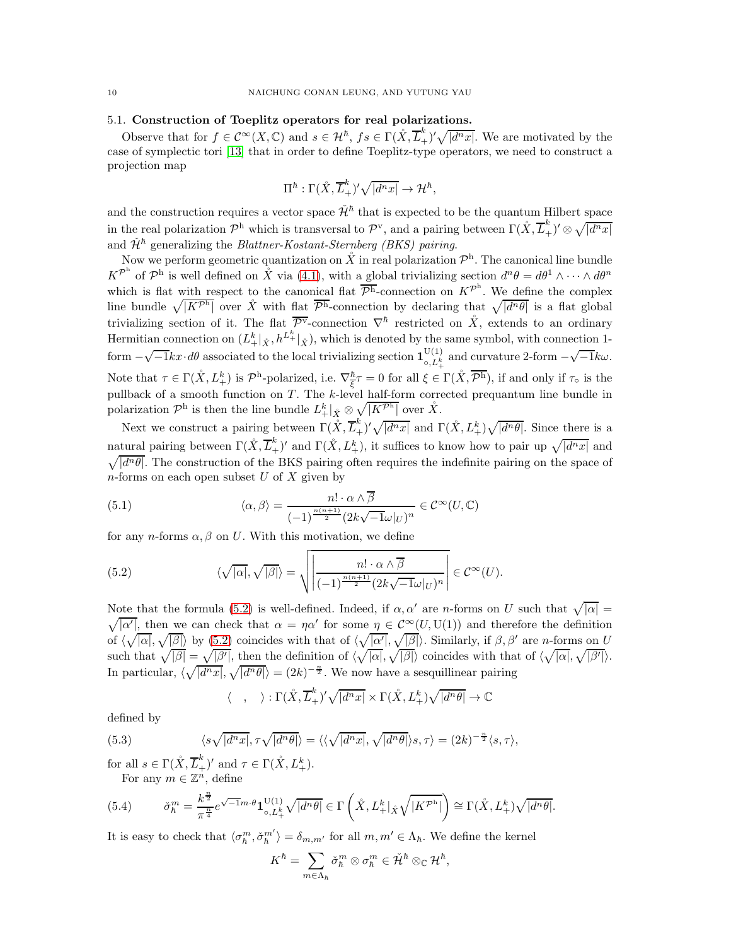## 5.1. Construction of Toeplitz operators for real polarizations.

Observe that for  $f \in C^{\infty}(X, \mathbb{C})$  and  $s \in \mathcal{H}^{\hbar}$ ,  $fs \in \Gamma(\mathring{X}, \overline{L}_{+}^{\hbar})' \sqrt{|d^n x|}$ . We are motivated by the case of symplectic tori [\[13\]](#page-15-2) that in order to define Toeplitz-type operators, we need to construct a projection map

$$
\Pi^{\hbar} : \Gamma(\mathring{X}, \overline{L}_{+}^{k})' \sqrt{|d^{n}x|} \to \mathcal{H}^{\hbar},
$$

and the construction requires a vector space  $\check{\mathcal{H}}^{\hbar}$  that is expected to be the quantum Hilbert space in the real polarization  $\mathcal{P}^{\text{h}}$  which is transversal to  $\mathcal{P}^{\text{v}}$ , and a pairing between  $\Gamma(\mathring{X}, \overline{L}_{+}^k)' \otimes \sqrt{|d^n x|}$ and  $\check{\mathcal{H}}^{\hbar}$  generalizing the *Blattner-Kostant-Sternberg (BKS) pairing.* 

Now we perform geometric quantization on  $\mathring{X}$  in real polarization  $\mathcal{P}^h$ . The canonical line bundle  $K^{\mathcal{P}^h}$  of  $\mathcal{P}^h$  is well defined on  $\mathring{X}$  via [\(4.1\)](#page-6-1), with a global trivializing section  $d^n\theta = d\theta^1 \wedge \cdots \wedge d\theta^n$ which is flat with respect to the canonical flat  $\overline{\mathcal{P}^h}$ -connection on  $K^{\mathcal{P}^h}$ . We define the complex line bundle  $\sqrt{|K^{p_h}|}$  over  $\mathring{X}$  with flat  $\overline{p_h}$ -connection by declaring that  $\sqrt{|d^n\theta|}$  is a flat global trivializing section of it. The flat  $\overline{P}^{\overline{Y}}$ -connection  $\nabla^{\hbar}$  restricted on  $\mathring{X}$ , extends to an ordinary Hermitian connection on  $(L^k_+|_{\mathring{X}}, h^{L^k_+}|_{\mathring{X}})$ , which is denoted by the same symbol, with connection 1form  $-\sqrt{-1}kx\cdot d\theta$  associated to the local trivializing section  $\mathbf{1}_{\circ, L_{\pm}^{k}}^{U(1)}$ <sup>U(1)</sup><sub>o, $L_{+}^{k}$ </sub> and curvature 2-form  $-\sqrt{-1}k\omega$ . Note that  $\tau \in \Gamma(\mathring{X}, L^k_+)$  is  $\mathcal{P}^{\text{h}}$ -polarized, i.e.  $\nabla^{\bar{\text{h}}}_{\overline{\xi}} \tau = 0$  for all  $\xi \in \Gamma(\mathring{X}, \overline{\mathcal{P}^{\text{h}}})$ , if and only if  $\tau_{\text{o}}$  is the pullback of a smooth function on T . The k-level half-form corrected prequantum line bundle in polarization  $\mathcal{P}^{\rm h}$  is then the line bundle  $L_+^k|_{\mathring{X}} \otimes \sqrt{|K^{\mathcal{P}^{\rm h}}|}$  over  $\mathring{X}$ .

Next we construct a pairing between  $\Gamma(\mathring{X}, \overline{L}_{+}^{k})' \sqrt{|d^n x|}$  and  $\Gamma(\mathring{X}, L_{+}^{k}) \sqrt{|d^n \theta|}$ . Since there is a natural pairing between  $\Gamma(\mathring{X}, \overline{L}_+^k)'$  and  $\Gamma(\mathring{X}, L_+^k)$ , it suffices to know how to pair up  $\sqrt{|d^n x|}$  and  $\sqrt{\vert d^n \theta \vert}$ . The construction of the BKS pairing often requires the indefinite pairing on the space of  $n$ -forms on each open subset  $U$  of  $X$  given by

(5.1) 
$$
\langle \alpha, \beta \rangle = \frac{n! \cdot \alpha \wedge \overline{\beta}}{(-1)^{\frac{n(n+1)}{2}} (2k\sqrt{-1}\omega|_U)^n} \in \mathcal{C}^{\infty}(U, \mathbb{C})
$$

for any *n*-forms  $\alpha$ ,  $\beta$  on U. With this motivation, we define

<span id="page-9-1"></span>(5.2) 
$$
\langle \sqrt{|\alpha|}, \sqrt{|\beta|} \rangle = \sqrt{\left| \frac{n! \cdot \alpha \wedge \overline{\beta}}{(-1)^{\frac{n(n+1)}{2}} (2k\sqrt{-1}\omega|_U)^n} \right|} \in \mathcal{C}^{\infty}(U).
$$

Note that the formula [\(5.2\)](#page-9-1) is well-defined. Indeed, if  $\alpha, \alpha'$  are n-forms on U such that  $\sqrt{|\alpha|} =$  $\sqrt{|\alpha'|}$ , then we can check that  $\alpha = \eta \alpha'$  for some  $\eta \in C^{\infty}(U, U(1))$  and therefore the definition of  $\langle \sqrt{|\alpha|}, \sqrt{|\beta|} \rangle$  by  $(5.2)$  coincides with that of  $\langle \sqrt{|\alpha'|}, \sqrt{|\beta|} \rangle$ . Similarly, if  $\beta, \beta'$  are n-forms on U such that  $\sqrt{|\beta|} = \sqrt{|\beta'|}$ , then the definition of  $\langle \sqrt{|\alpha|}, \sqrt{|\beta|} \rangle$  coincides with that of  $\langle \sqrt{|\alpha|}, \sqrt{|\beta'|} \rangle$ . In particular,  $\langle \sqrt{|d^n x|}, \sqrt{|d^n \theta|} \rangle = (2k)^{-\frac{n}{2}}$ . We now have a sesquillinear pairing

$$
\langle , \quad \rangle : \Gamma(\mathring{X}, \overline{L}^k_+)'\sqrt{|d^n x|} \times \Gamma(\mathring{X}, L^k_+) \sqrt{|d^n \theta|} \to \mathbb{C}
$$

defined by

(5.3) 
$$
\langle s\sqrt{|d^n x|}, \tau\sqrt{|d^n \theta|} \rangle = \langle \langle \sqrt{|d^n x|}, \sqrt{|d^n \theta|} \rangle s, \tau \rangle = (2k)^{-\frac{n}{2}} \langle s, \tau \rangle,
$$

for all  $s \in \Gamma(\mathring{X}, \overline{L}_{+}^k)'$  and  $\tau \in \Gamma(\mathring{X}, L_{+}^k)$ . For any  $m \in \mathbb{Z}^n$ , define

(5.4) 
$$
\check{\sigma}_h^m = \frac{k^{\frac{n}{2}}}{\pi^{\frac{n}{4}}} e^{\sqrt{-1}m \cdot \theta} \mathbf{1}_{\circ, L_+^k}^{\mathrm{U}(1)} \sqrt{|d^n \theta|} \in \Gamma\left(\mathring{X}, L_+^k | \mathring{X} \sqrt{|K^{\mathcal{P}^h}|}\right) \cong \Gamma(\mathring{X}, L_+^k) \sqrt{|d^n \theta|}.
$$

It is easy to check that  $\langle \sigma_k^m, \check{\sigma}_k^{m'} \rangle = \delta_{m,m'}$  for all  $m, m' \in \Lambda_{\hbar}$ . We define the kernel

$$
K^{\hbar} = \sum_{m \in \Lambda_{\hbar}} \check{\sigma}_\hbar^m \otimes \sigma_\hbar^m \in \check{\mathcal{H}}^{\hbar} \otimes_{\mathbb{C}} \mathcal{H}^{\hbar},
$$

<span id="page-9-0"></span>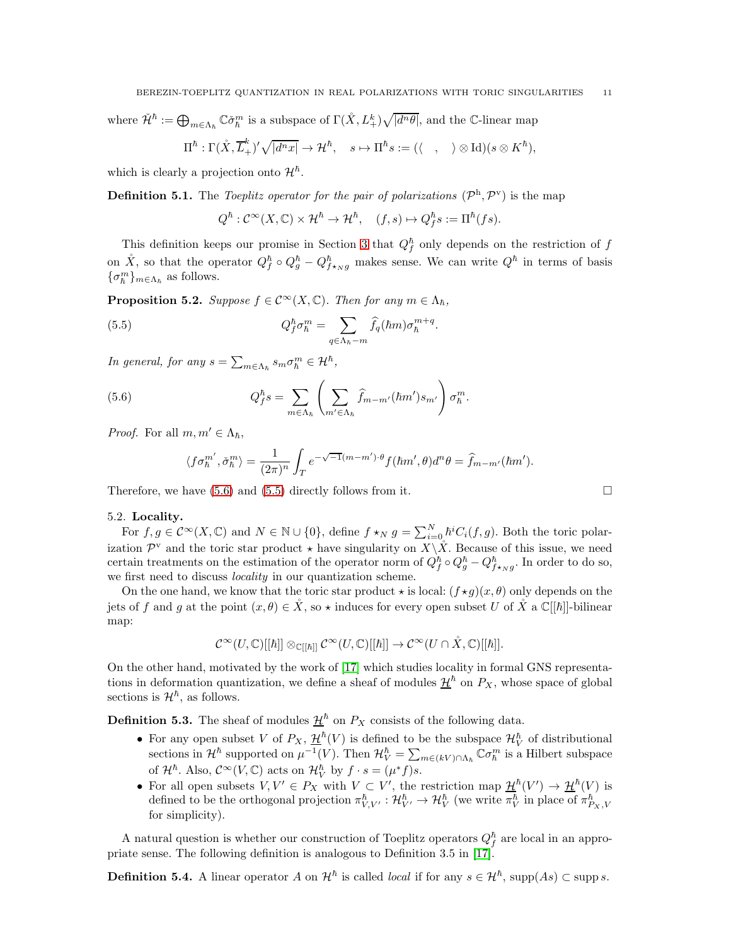where  $\check{\mathcal{H}}^{\hbar} := \bigoplus_{m \in \Lambda_{\hbar}} \mathbb{C} \check{\sigma}_{\hbar}^m$  is a subspace of  $\Gamma(\mathring{X}, L^k_+) \sqrt{|d^n \theta|}$ , and the C-linear map

$$
\Pi^{\hbar} : \Gamma(\mathring{X}, \overline{L}_{+}^{k})' \sqrt{|d^{n}x|} \to \mathcal{H}^{\hbar}, \quad s \mapsto \Pi^{\hbar} s := (\langle \quad , \quad \rangle \otimes \text{Id})(s \otimes K^{\hbar}),
$$

which is clearly a projection onto  $\mathcal{H}^{\hbar}$ .

**Definition 5.1.** The Toeplitz operator for the pair of polarizations  $(\mathcal{P}^h, \mathcal{P}^v)$  is the map

<span id="page-10-3"></span>
$$
Q^{\hbar} : \mathcal{C}^{\infty}(X,\mathbb{C}) \times \mathcal{H}^{\hbar} \to \mathcal{H}^{\hbar}, \quad (f,s) \mapsto Q^{\hbar}_f s := \Pi^{\hbar}(fs).
$$

This definition keeps our promise in Section [3](#page-5-0) that  $Q_f^{\hbar}$  only depends on the restriction of f on  $\mathring{X}$ , so that the operator  $Q_f^{\hbar} \circ Q_g^{\hbar} - Q_{f \star_{N}g}^{\hbar}$  makes sense. We can write  $Q^{\hbar}$  in terms of basis  $\{\sigma_{\hbar}^{m}\}_{m\in\Lambda_{\hbar}}$  as follows.

<span id="page-10-0"></span>**Proposition 5.2.** Suppose  $f \in C^{\infty}(X, \mathbb{C})$ . Then for any  $m \in \Lambda_h$ ,

(5.5) 
$$
Q_f^{\hbar} \sigma_{\hbar}^m = \sum_{q \in \Lambda_{\hbar} - m} \widehat{f}_q(\hbar m) \sigma_{\hbar}^{m+q}.
$$

In general, for any  $s = \sum_{m \in \Lambda_h} s_m \sigma_h^m \in \mathcal{H}^{\hbar}$ ,

(5.6) 
$$
Q_f^{\hbar} s = \sum_{m \in \Lambda_{\hbar}} \left( \sum_{m' \in \Lambda_{\hbar}} \hat{f}_{m-m'}(\hbar m') s_{m'} \right) \sigma_{\hbar}^m.
$$

*Proof.* For all  $m, m' \in \Lambda_{\hbar}$ ,

<span id="page-10-2"></span>
$$
\langle f\sigma_h^{m'}, \check{\sigma}_h^{m'} \rangle = \frac{1}{(2\pi)^n} \int_T e^{-\sqrt{-1}(m-m')\cdot\theta} f(\hbar m', \theta) d^n \theta = \hat{f}_{m-m'}(\hbar m').
$$

Therefore, we have [\(5.6\)](#page-10-2) and [\(5.5\)](#page-10-3) directly follows from it.  $\square$ 

### <span id="page-10-1"></span>5.2. Locality.

For  $f, g \in C^{\infty}(X, \mathbb{C})$  and  $N \in \mathbb{N} \cup \{0\}$ , define  $f \star_N g = \sum_{i=0}^N h^i C_i(f, g)$ . Both the toric polarization  $\mathcal{P}^{\vee}$  and the toric star product  $\star$  have singularity on  $X\backslash X$ . Because of this issue, we need certain treatments on the estimation of the operator norm of  $Q_f^{\hbar} \circ Q_g^{\hbar} - Q_{f \star_N g}^{\hbar}$ . In order to do so, we first need to discuss *locality* in our quantization scheme.

On the one hand, we know that the toric star product  $\star$  is local:  $(f \star g)(x, \theta)$  only depends on the jets of f and g at the point  $(x, \theta) \in \hat{X}$ , so  $\star$  induces for every open subset U of  $\hat{X}$  a  $\mathbb{C}[[\hbar]]$ -bilinear map:

$$
\mathcal{C}^{\infty}(U,\mathbb{C})[[\hbar]]\otimes_{\mathbb{C}[[\hbar]]}\mathcal{C}^{\infty}(U,\mathbb{C})[[\hbar]]\to \mathcal{C}^{\infty}(U\cap X,\mathbb{C})[[\hbar]].
$$

On the other hand, motivated by the work of [\[17\]](#page-15-15) which studies locality in formal GNS representations in deformation quantization, we define a sheaf of modules  $\mathcal{H}^{\hbar}$  on  $P_X$ , whose space of global sections is  $\mathcal{H}^{\hbar}$ , as follows.

**Definition 5.3.** The sheaf of modules  $\underline{\mathcal{H}}^{\hbar}$  on  $P_X$  consists of the following data.

- For any open subset V of  $P_X$ ,  $\mathcal{H}^{\hbar}(V)$  is defined to be the subspace  $\mathcal{H}_V^{\hbar}$  of distributional sections in  $\mathcal{H}^{\hbar}$  supported on  $\mu^{-1}(V)$ . Then  $\mathcal{H}^{\hbar}_V = \sum_{m \in (kV) \cap \Lambda_{\hbar}} \mathbb{C} \sigma_{\hbar}^m$  is a Hilbert subspace of  $\mathcal{H}^{\hbar}$ . Also,  $\mathcal{C}^{\infty}(V, \mathbb{C})$  acts on  $\mathcal{H}_{V}^{\hbar}$  by  $f \cdot s = (\mu^{*} f)s$ .
- For all open subsets  $V, V' \in P_X$  with  $V \subset V'$ , the restriction map  $\underline{\mathcal{H}}^{\hbar}(V') \to \underline{\mathcal{H}}^{\hbar}(V)$  is defined to be the orthogonal projection  $\pi_{V,V'}^{\hbar} : \mathcal{H}_{V'}^{\hbar} \to \mathcal{H}_{V}^{\hbar}$  (we write  $\overline{\pi}_{V}^{\hbar}$  in place of  $\pi_{P_X,V}^{\hbar}$ for simplicity).

A natural question is whether our construction of Toeplitz operators  $Q_f^{\hbar}$  are local in an appropriate sense. The following definition is analogous to Definition 3.5 in [\[17\]](#page-15-15).

**Definition 5.4.** A linear operator A on  $\mathcal{H}^{\hbar}$  is called *local* if for any  $s \in \mathcal{H}^{\hbar}$ , supp $(As) \subset \text{supp } s$ .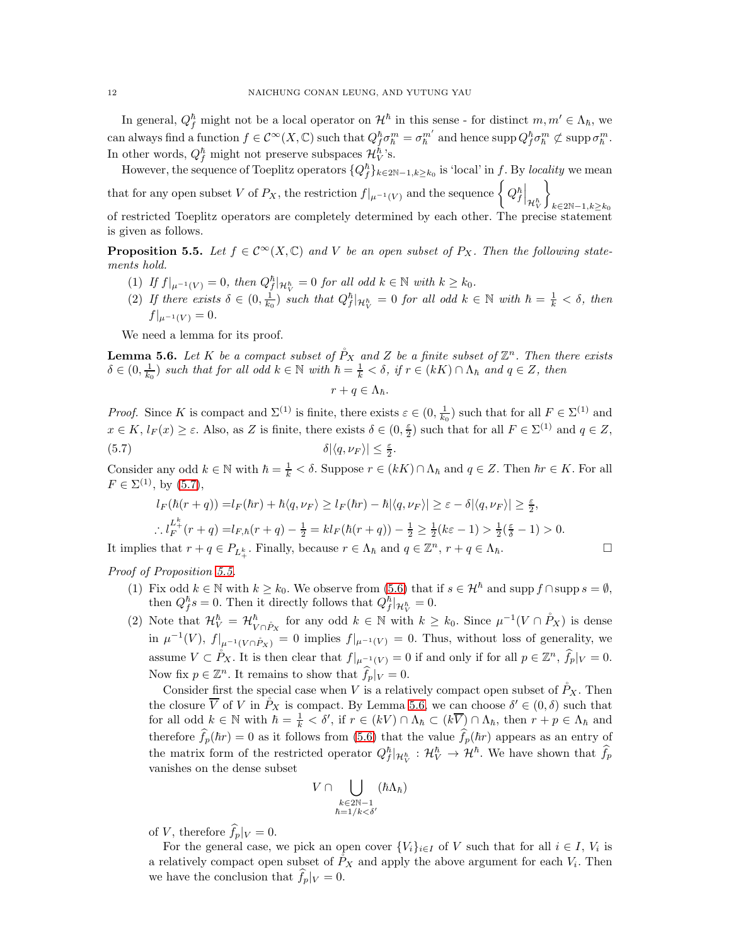In general,  $Q_f^{\hbar}$  might not be a local operator on  $\mathcal{H}^{\hbar}$  in this sense - for distinct  $m, m' \in \Lambda_{\hbar}$ , we can always find a function  $f \in C^{\infty}(X, \mathbb{C})$  such that  $Q_f^{\hbar} \sigma_{\hbar}^m = \sigma_{\hbar}^{m'}$  and hence  $\text{supp } Q_f^{\hbar} \sigma_{\hbar}^m \not\subset \text{supp }\sigma_{\hbar}^m$ . In other words,  $Q_f^{\hbar}$  might not preserve subspaces  $\mathcal{H}_V^{\hbar}$ 's.

However, the sequence of Toeplitz operators  $\{Q_f^{\hbar}\}_{k\in 2\mathbb{N}-1,k\geq k_0}$  is 'local' in f. By locality we mean that for any open subset V of  $P_X$ , the restriction  $f|_{\mu^{-1}(V)}$  and the sequence  $\begin{cases} Q_f^h \end{cases}$  $\mathcal{L}$ 

 $\big|_{\mathcal{H}^\hbar_\mathcal{V}}$  $\scriptstyle k\in 2\mathbb{N}-1, k\geq k_0$ of restricted Toeplitz operators are completely determined by each other. The precise s is given as follows.

<span id="page-11-1"></span>**Proposition 5.5.** Let  $f \in C^{\infty}(X, \mathbb{C})$  and V be an open subset of P<sub>X</sub>. Then the following statements hold.

- (1) If  $f|_{\mu^{-1}(V)} = 0$ , then  $Q_f^{\hbar}|_{\mathcal{H}_V^{\hbar}} = 0$  for all odd  $k \in \mathbb{N}$  with  $k \geq k_0$ .
- (2) If there exists  $\delta \in (0, \frac{1}{k_0})$  such that  $Q_f^{\hbar}|_{\mathcal{H}_V^{\hbar}} = 0$  for all odd  $k \in \mathbb{N}$  with  $\hbar = \frac{1}{k} < \delta$ , then  $f|_{\mu^{-1}(V)} = 0.$

We need a lemma for its proof.

<span id="page-11-2"></span>**Lemma 5.6.** Let K be a compact subset of  $\mathring{P}_X$  and Z be a finite subset of  $\mathbb{Z}^n$ . Then there exists  $\delta \in (0, \frac{1}{k_0})$  such that for all odd  $k \in \mathbb{N}$  with  $\hbar = \frac{1}{k} < \delta$ , if  $r \in (kK) \cap \Lambda_{\hbar}$  and  $q \in Z$ , then

<span id="page-11-0"></span>
$$
r+q\in\Lambda_{\hbar}.
$$

*Proof.* Since K is compact and  $\Sigma^{(1)}$  is finite, there exists  $\varepsilon \in (0, \frac{1}{k_0})$  such that for all  $F \in \Sigma^{(1)}$  and  $x \in K$ ,  $l_F(x) \ge \varepsilon$ . Also, as Z is finite, there exists  $\delta \in (0, \frac{\varepsilon}{2})$  such that for all  $F \in \Sigma^{(1)}$  and  $q \in Z$ , (5.7)  $\delta |\langle q, \nu_F \rangle| \leq \frac{\varepsilon}{2}$ .

Consider any odd  $k \in \mathbb{N}$  with  $\hbar = \frac{1}{k} < \delta$ . Suppose  $r \in (kK) \cap \Lambda_{\hbar}$  and  $q \in \mathbb{Z}$ . Then  $\hbar r \in K$ . For all  $F \in \Sigma^{(1)}$ , by [\(5.7\)](#page-11-0),

$$
l_F(\hbar(r+q)) = l_F(\hbar r) + \hbar \langle q, \nu_F \rangle \ge l_F(\hbar r) - \hbar |\langle q, \nu_F \rangle| \ge \varepsilon - \delta |\langle q, \nu_F \rangle| \ge \frac{\varepsilon}{2},
$$
  
 
$$
\therefore l_F^{L^k}(r+q) = l_{F,\hbar}(r+q) - \frac{1}{2} = k l_F(\hbar(r+q)) - \frac{1}{2} \ge \frac{1}{2}(k\varepsilon - 1) > \frac{1}{2}(\frac{\varepsilon}{\delta} - 1) > 0.
$$

It implies that  $r + q \in P_{L^k_+}$ . Finally, because  $r \in \Lambda_\hbar$  and  $q \in \mathbb{Z}^n$ ,  $r + q \in \Lambda_\hbar$ .

Proof of Proposition [5.5.](#page-11-1)

- (1) Fix odd  $k \in \mathbb{N}$  with  $k \geq k_0$ . We observe from [\(5.6\)](#page-10-2) that if  $s \in \mathcal{H}^{\hbar}$  and supp  $f \cap \text{supp } s = \emptyset$ , then  $Q_f^{\hbar} s = 0$ . Then it directly follows that  $Q_f^{\hbar} |_{\mathcal{H}_V^{\hbar}} = 0$ .
- (2) Note that  $\mathcal{H}_{V}^{\hbar} = \mathcal{H}_{V \cap \mathring{P}_X}^{\hbar}$  for any odd  $k \in \mathbb{N}$  with  $k \geq k_0$ . Since  $\mu^{-1}(V \cap \mathring{P}_X)$  is dense in  $\mu^{-1}(V)$ ,  $f|_{\mu^{-1}(V \cap \mathring{P}_X)} = 0$  implies  $f|_{\mu^{-1}(V)} = 0$ . Thus, without loss of generality, we assume  $V \subset \mathring{P}_X$ . It is then clear that  $f|_{\mu^{-1}(V)} = 0$  if and only if for all  $p \in \mathbb{Z}^n$ ,  $\widehat{f}_p|_V = 0$ . Now fix  $p \in \mathbb{Z}^n$ . It remains to show that  $\widehat{f}_p|_V = 0$ .

Consider first the special case when V is a relatively compact open subset of  $\tilde{P}_X$ . Then the closure  $\overline{V}$  of V in  $\overset{\circ}{P}_X$  is compact. By Lemma [5.6,](#page-11-2) we can choose  $\delta' \in (0, \delta)$  such that for all odd  $k \in \mathbb{N}$  with  $\hbar = \frac{1}{k} < \delta'$ , if  $r \in (kV) \cap \Lambda_{\hbar} \subset (k\overline{V}) \cap \Lambda_{\hbar}$ , then  $r + p \in \Lambda_{\hbar}$  and therefore  $\hat{f}_p(\hbar r) = 0$  as it follows from [\(5.6\)](#page-10-2) that the value  $\hat{f}_p(\hbar r)$  appears as an entry of the matrix form of the restricted operator  $Q_f^{\hbar} | H_V^{\hbar} : H_V^{\hbar} \to H^{\hbar}$ . We have shown that  $\widehat{f}_p$ vanishes on the dense subset

$$
V\cap\bigcup_{\substack{k\in 2\mathbb{N}-1\\ \hbar=1/k<\delta'}}(\hbar\Lambda_\hbar)
$$

of V, therefore  $f_p|_V = 0$ .

For the general case, we pick an open cover  $\{V_i\}_{i\in I}$  of V such that for all  $i \in I$ ,  $V_i$  is a relatively compact open subset of  $\mathring{P}_X$  and apply the above argument for each  $V_i$ . Then we have the conclusion that  $f_p|_V = 0$ .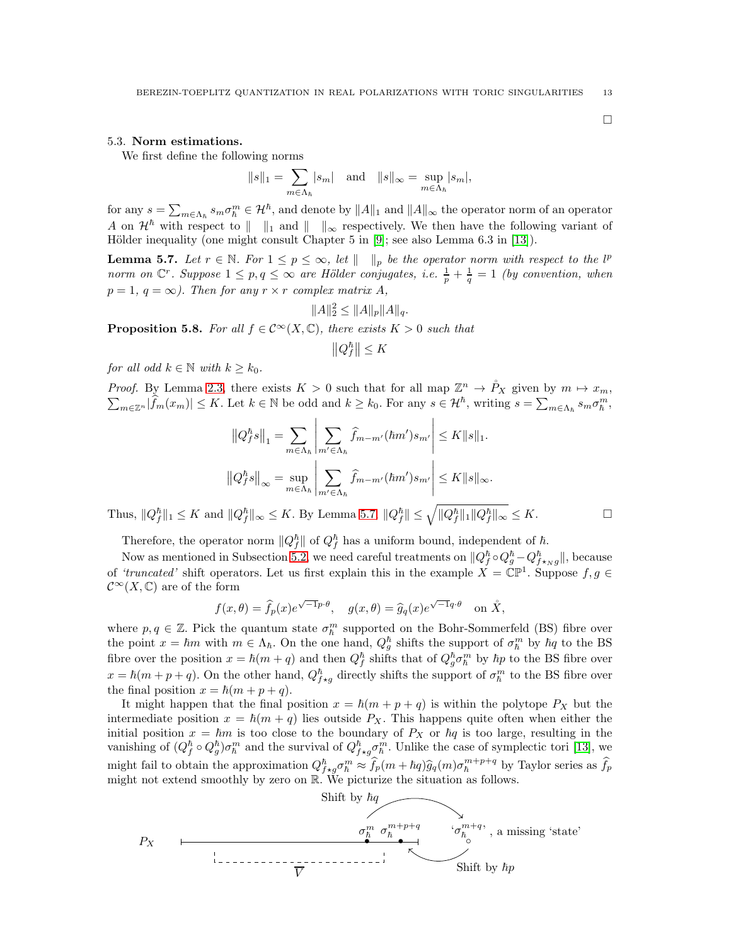#### <span id="page-12-0"></span>5.3. Norm estimations.

We first define the following norms

$$
||s||_1 = \sum_{m \in \Lambda_h} |s_m| \text{ and } ||s||_{\infty} = \sup_{m \in \Lambda_h} |s_m|,
$$

for any  $s = \sum_{m \in \Lambda_h} s_m \sigma_h^m \in \mathcal{H}^\hbar$ , and denote by  $||A||_1$  and  $||A||_\infty$  the operator norm of an operator A on  $\mathcal{H}^{\hbar}$  with respect to  $\|\cdot\|_1$  and  $\|\cdot\|_{\infty}$  respectively. We then have the following variant of Hölder inequality (one might consult Chapter 5 in  $[9]$ ; see also Lemma 6.3 in  $[13]$ ).

<span id="page-12-1"></span>**Lemma 5.7.** Let  $r \in \mathbb{N}$ . For  $1 \leq p \leq \infty$ , let  $\|\cdot\|_p$  be the operator norm with respect to the l<sup>p</sup> norm on  $\mathbb{C}^r$ . Suppose  $1 \leq p, q \leq \infty$  are Hölder conjugates, i.e.  $\frac{1}{p} + \frac{1}{q} = 1$  (by convention, when  $p = 1, q = \infty$ ). Then for any  $r \times r$  complex matrix A,

$$
||A||_2^2 \le ||A||_p ||A||_q.
$$

**Proposition 5.8.** For all  $f \in C^{\infty}(X, \mathbb{C})$ , there exists  $K > 0$  such that

$$
\left\|Q_{f}^{\hbar}\right\| \leq K
$$

for all odd  $k \in \mathbb{N}$  with  $k \geq k_0$ .

*Proof.* By Lemma [2.3,](#page-4-0) there exists  $K > 0$  such that for all map  $\mathbb{Z}^n \to \mathring{P}_X$  given by  $m \mapsto x_m$ ,  $\sum_{x \in \mathbb{Z}^n} |\hat{f}_m(x_m)| \leq K$ . Let  $k \in \mathbb{N}$  be odd and  $k \geq k_0$ . For any  $s \in \mathcal{H}^h$ , writing  $s = \sum_{x \in \Lambda} s_m \sigma$  $\lim_{m\in\mathbb{Z}^n}|\widehat{f}_m(x_m)| \leq K$ . Let  $k \in \mathbb{N}$  be odd and  $k \geq k_0$ . For any  $s \in \mathcal{H}^{\hbar}$ , writing  $s = \sum_{m\in\Lambda_{\hbar}} s_m \sigma_{\hbar}^m$ ,

$$
\left\|Q_f^{\hbar}s\right\|_1 = \sum_{m \in \Lambda_{\hbar}} \left|\sum_{m' \in \Lambda_{\hbar}} \hat{f}_{m-m'}(\hbar m')s_{m'}\right| \le K \|s\|_1.
$$
  

$$
\left\|Q_f^{\hbar}s\right\|_{\infty} = \sup_{m \in \Lambda_{\hbar}} \left|\sum_{m' \in \Lambda_{\hbar}} \hat{f}_{m-m'}(\hbar m')s_{m'}\right| \le K \|s\|_{\infty}.
$$

Thus,  $||Q_f^{\hbar}||_1 \leq K$  and  $||Q_f^{\hbar}||_{\infty} \leq K$ . By Lemma [5.7,](#page-12-1)  $||Q_f^{\hbar}|| \leq \sqrt{||Q_f^{\hbar}||_1 ||Q_f^{\hbar}||_{\infty}} \leq K$ .

$$
\overline{}
$$

Therefore, the operator norm  $||Q_f^{\hbar}||$  of  $Q_f^{\hbar}$  has a uniform bound, independent of  $\hbar$ .

Now as mentioned in Subsection [5.2,](#page-10-1) we need careful treatments on  $||Q_f^{\hbar} \circ Q_g^{\hbar} - Q_{f \star_N g}^{\hbar}||$ , because of 'truncated' shift operators. Let us first explain this in the example  $X = \mathbb{CP}^1$ . Suppose  $f, g \in$  $\mathcal{C}^{\infty}(X,\mathbb{C})$  are of the form

$$
f(x, \theta) = \hat{f}_p(x)e^{\sqrt{-1}p \cdot \theta}, \quad g(x, \theta) = \hat{g}_q(x)e^{\sqrt{-1}q \cdot \theta} \text{ on } \mathring{X},
$$

where  $p, q \in \mathbb{Z}$ . Pick the quantum state  $\sigma_{\hbar}^{m}$  supported on the Bohr-Sommerfeld (BS) fibre over the point  $x = \hbar m$  with  $m \in \Lambda_{\hbar}$ . On the one hand,  $Q_g^{\hbar}$  shifts the support of  $\sigma_{\hbar}^m$  by  $\hbar q$  to the BS fibre over the position  $x = \hbar(m + q)$  and then  $Q_f^{\hbar}$  shifts that of  $Q_g^{\hbar} \sigma_{\hbar}^m$  by  $\hbar p$  to the BS fibre over  $x = \hbar(m + p + q)$ . On the other hand,  $Q_{f \star g}^{\hbar}$  directly shifts the support of  $\sigma_h^m$  to the BS fibre over the final position  $x = \hbar(m + p + q)$ .

It might happen that the final position  $x = \hbar(m + p + q)$  is within the polytope  $P_X$  but the intermediate position  $x = \hbar(m + q)$  lies outside  $P_X$ . This happens quite often when either the initial position  $x = \hbar m$  is too close to the boundary of  $P_X$  or  $\hbar q$  is too large, resulting in the vanishing of  $(Q_f^{\hbar} \circ Q_g^{\hbar}) \sigma_{\hbar}^m$  and the survival of  $Q_{f \star g}^{\hbar} \sigma_{\hbar}^m$ . Unlike the case of symplectic tori [\[13\]](#page-15-2), we might fail to obtain the approximation  $Q_{f \star g}^{\hbar} \sigma_h^m \approx \hat{f}_p(m + \hbar q) \hat{g}_q(m) \sigma_h^{m+p+q}$  by Taylor series as  $\hat{f}_p$ might not extend smoothly by zero on R. We picturize the situation as follows.



 $\Box$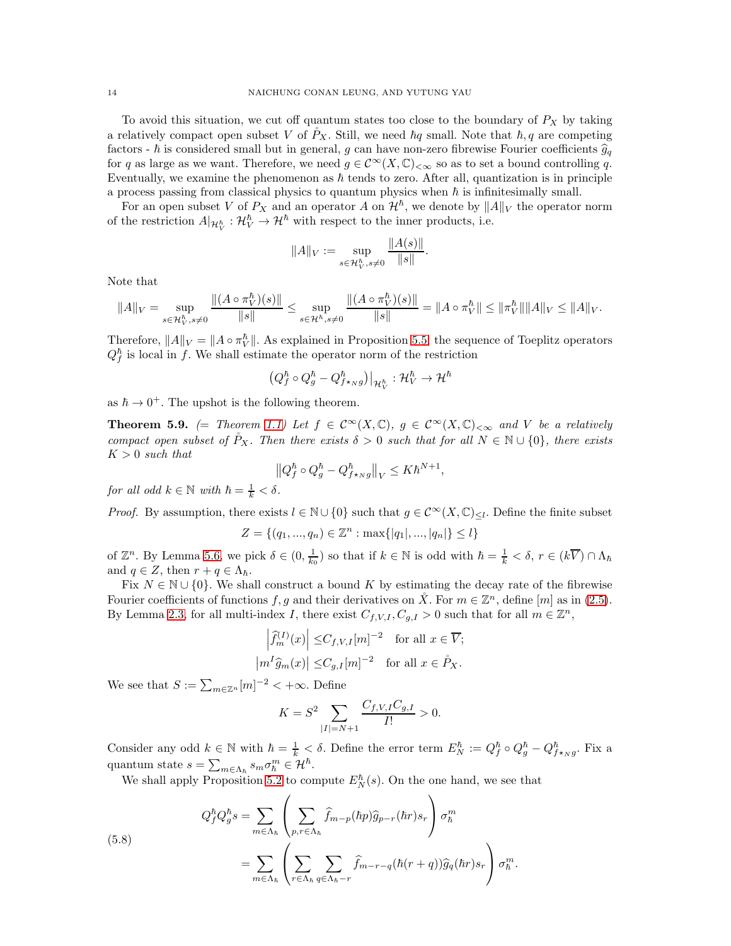To avoid this situation, we cut off quantum states too close to the boundary of  $P_X$  by taking a relatively compact open subset V of  $P_X$ . Still, we need  $\hbar q$  small. Note that  $\hbar, q$  are competing factors -  $\hbar$  is considered small but in general, g can have non-zero fibrewise Fourier coefficients  $\hat{g}_q$ for q as large as we want. Therefore, we need  $g \in C^{\infty}(X,\mathbb{C})_{< \infty}$  so as to set a bound controlling q. Eventually, we examine the phenomenon as  $\hbar$  tends to zero. After all, quantization is in principle a process passing from classical physics to quantum physics when  $\hbar$  is infinitesimally small.

For an open subset V of  $P_X$  and an operator A on  $\mathcal{H}^{\hbar}$ , we denote by  $||A||_V$  the operator norm of the restriction  $A|_{\mathcal{H}_{V}^{\hbar}} : \mathcal{H}_{V}^{\hbar} \to \mathcal{H}^{\hbar}$  with respect to the inner products, i.e.

$$
||A||_V := \sup_{s \in \mathcal{H}_V^h, s \neq 0} \frac{||A(s)||}{||s||}.
$$

Note that

$$
\|A\|_V = \sup_{s \in \mathcal{H}_V^\hbar, s \neq 0} \frac{\|(A \circ \pi_V^\hbar)(s)\|}{\|s\|} \leq \sup_{s \in \mathcal{H}^\hbar, s \neq 0} \frac{\|(A \circ \pi_V^\hbar)(s)\|}{\|s\|} = \|A \circ \pi_V^\hbar\| \leq \|\pi_V^\hbar\| \|A\|_V \leq \|A\|_V.
$$

Therefore,  $||A||_V = ||A \circ \pi_V^{\hbar}||$ . As explained in Proposition [5.5,](#page-11-1) the sequence of Toeplitz operators  $Q_f^{\hbar}$  is local in f. We shall estimate the operator norm of the restriction

$$
\left(Q_f^\hbar \circ Q_g^\hbar - Q_{f \star \scriptscriptstyle \cal N}^\hbar g\right)\big|_{\mathcal{H}^\hbar_V} : \mathcal{H}^\hbar_V \to \mathcal{H}^\hbar
$$

as  $\hbar \to 0^+$ . The upshot is the following theorem.

**Theorem 5.9.** (= Theorem [1.1\)](#page-1-0) Let  $f \in C^{\infty}(X,\mathbb{C})$ ,  $g \in C^{\infty}(X,\mathbb{C})_{<\infty}$  and V be a relatively compact open subset of  $\tilde{P}_X$ . Then there exists  $\delta > 0$  such that for all  $N \in \mathbb{N} \cup \{0\}$ , there exists  $K > 0$  such that

$$
\left\|Q_f^\hbar\circ Q_g^\hbar-Q_{f\star_Ng}^\hbar\right\|_V\leq K\hbar^{N+1}
$$

,

for all odd  $k \in \mathbb{N}$  with  $\hbar = \frac{1}{k} < \delta$ .

*Proof.* By assumption, there exists  $l \in \mathbb{N} \cup \{0\}$  such that  $g \in C^{\infty}(X, \mathbb{C})_{\leq l}$ . Define the finite subset

$$
Z = \{(q_1, ..., q_n) \in \mathbb{Z}^n : \max\{|q_1|, ..., |q_n|\} \le l\}
$$

of  $\mathbb{Z}^n$ . By Lemma [5.6,](#page-11-2) we pick  $\delta \in (0, \frac{1}{k_0})$  so that if  $k \in \mathbb{N}$  is odd with  $\hbar = \frac{1}{k} < \delta$ ,  $r \in (k\overline{V}) \cap \Lambda_{\hbar}$ and  $q \in Z$ , then  $r + q \in \Lambda_{\hbar}$ .

Fix  $N \in \mathbb{N} \cup \{0\}$ . We shall construct a bound K by estimating the decay rate of the fibrewise Fourier coefficients of functions f, g and their derivatives on  $\mathring{X}$ . For  $m \in \mathbb{Z}^n$ , define  $[m]$  as in [\(2.5\)](#page-4-1). By Lemma [2.3,](#page-4-0) for all multi-index I, there exist  $C_{f,V,I}, C_{g,I} > 0$  such that for all  $m \in \mathbb{Z}^n$ ,

$$
\left| \widehat{f}_m^{(I)}(x) \right| \leq C_{f,V,I}[m]^{-2} \text{ for all } x \in \overline{V};
$$
  

$$
\left| m^I \widehat{g}_m(x) \right| \leq C_{g,I}[m]^{-2} \text{ for all } x \in \mathring{P}_X.
$$

We see that  $S := \sum_{m \in \mathbb{Z}^n} [m]^{-2} < +\infty$ . Define

$$
K = S^2 \sum_{|I|=N+1} \frac{C_{f,V,I}C_{g,I}}{I!} > 0.
$$

Consider any odd  $k \in \mathbb{N}$  with  $\hbar = \frac{1}{k} < \delta$ . Define the error term  $E_N^{\hbar} := Q_f^{\hbar} \circ Q_g^{\hbar} - Q_{f \star \gamma g}^{\hbar}$ . Fix a quantum state  $s = \sum_{m \in \Lambda_h} s_m \sigma_h^m \in \mathcal{H}^{\hbar}$ .

We shall apply Proposition [5.2](#page-10-0) to compute  $E_N^{\hbar}(s)$ . On the one hand, we see that

<span id="page-13-0"></span>(5.8)  

$$
Q_f^{\hbar} Q_g^{\hbar} s = \sum_{m \in \Lambda_h} \left( \sum_{p,r \in \Lambda_h} \hat{f}_{m-p}(\hbar p) \hat{g}_{p-r}(\hbar r) s_r \right) \sigma_h^m
$$

$$
= \sum_{m \in \Lambda_h} \left( \sum_{r \in \Lambda_h} \sum_{q \in \Lambda_h - r} \hat{f}_{m-r-q}(\hbar(r+q)) \hat{g}_q(\hbar r) s_r \right) \sigma_h^m.
$$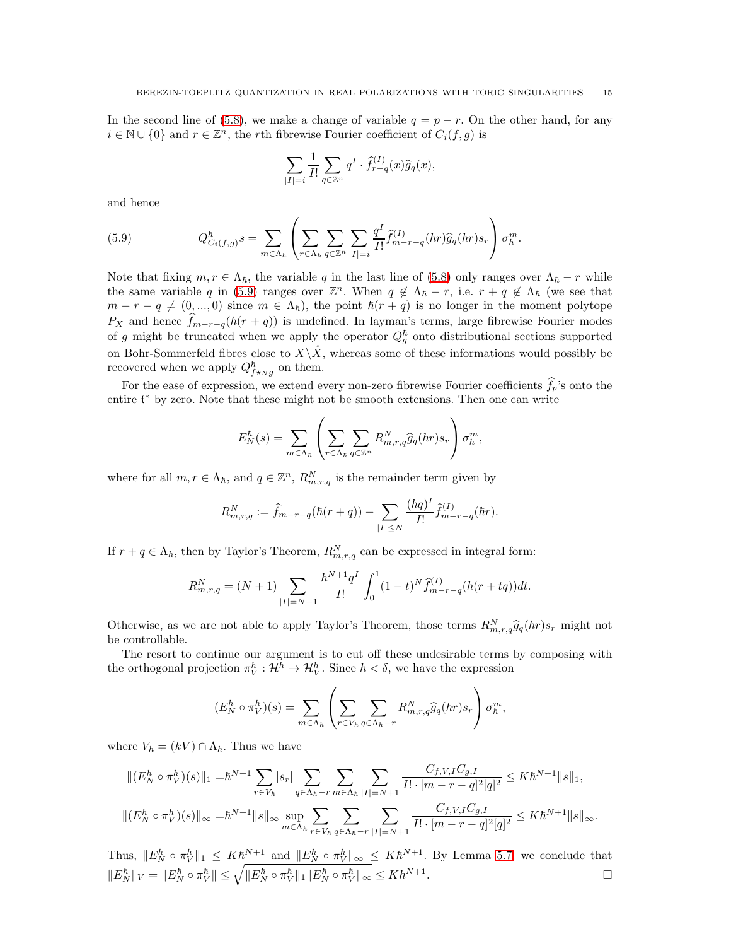In the second line of [\(5.8\)](#page-13-0), we make a change of variable  $q = p - r$ . On the other hand, for any  $i \in \mathbb{N} \cup \{0\}$  and  $r \in \mathbb{Z}^n$ , the rth fibrewise Fourier coefficient of  $C_i(f, g)$  is

$$
\sum_{|I|=i} \frac{1}{I!} \sum_{q \in \mathbb{Z}^n} q^I \cdot \hat{f}_{r-q}^{(I)}(x) \hat{g}_q(x),
$$

and hence

<span id="page-14-0"></span>(5.9) 
$$
Q_{C_i(f,g)}^{\hbar} s = \sum_{m \in \Lambda_{\hbar}} \left( \sum_{r \in \Lambda_{\hbar}} \sum_{q \in \mathbb{Z}^n} \sum_{|I| = i} \frac{q^I}{I!} \hat{f}_{m-r-q}^{(I)}(\hbar r) \hat{g}_q(\hbar r) s_r \right) \sigma_{\hbar}^m.
$$

Note that fixing  $m, r \in \Lambda_h$ , the variable q in the last line of [\(5.8\)](#page-13-0) only ranges over  $\Lambda_h - r$  while the same variable q in [\(5.9\)](#page-14-0) ranges over  $\mathbb{Z}^n$ . When  $q \notin \Lambda_{\hbar} - r$ , i.e.  $r + q \notin \Lambda_{\hbar}$  (we see that  $m - r - q \neq (0, ..., 0)$  since  $m \in \Lambda_h$ , the point  $\hbar(r + q)$  is no longer in the moment polytope  $P_X$  and hence  $\hat{f}_{m-r-q}(\hbar(r+q))$  is undefined. In layman's terms, large fibrewise Fourier modes of g might be truncated when we apply the operator  $Q_g^{\hbar}$  onto distributional sections supported on Bohr-Sommerfeld fibres close to  $X\backslash X$ , whereas some of these informations would possibly be recovered when we apply  $Q_{f \star_{N}g}^{\hbar}$  on them.

For the ease of expression, we extend every non-zero fibrewise Fourier coefficients  $f_p$ 's onto the entire  $\mathfrak{t}^*$  by zero. Note that these might not be smooth extensions. Then one can write

$$
E_N^{\hbar}(s) = \sum_{m \in \Lambda_{\hbar}} \left( \sum_{r \in \Lambda_{\hbar}} \sum_{q \in \mathbb{Z}^n} R_{m,r,q}^N \widehat{g}_q(\hbar r) s_r \right) \sigma_{\hbar}^m,
$$

where for all  $m, r \in \Lambda_{\hbar}$ , and  $q \in \mathbb{Z}^n$ ,  $R^N_{m,r,q}$  is the remainder term given by

$$
R_{m,r,q}^N := \hat{f}_{m-r-q}(\hbar(r+q)) - \sum_{|I| \le N} \frac{(\hbar q)^I}{I!} \hat{f}_{m-r-q}^{(I)}(\hbar r).
$$

If  $r + q \in \Lambda_{\hbar}$ , then by Taylor's Theorem,  $R_{m,r,q}^N$  can be expressed in integral form:

$$
R_{m,r,q}^N = (N+1) \sum_{|I|=N+1} \frac{\hbar^{N+1} q^I}{I!} \int_0^1 (1-t)^N \hat{f}_{m-r-q}^{(I)}(\hbar(r+tq)) dt.
$$

Otherwise, as we are not able to apply Taylor's Theorem, those terms  $R_{m,r,q}^N \hat{g}_q(\hbar r) s_r$  might not be controllable.

The resort to continue our argument is to cut off these undesirable terms by composing with the orthogonal projection  $\pi_V^{\hbar} : H^{\hbar} \to H_V^{\hbar}$ . Since  $\hbar < \delta$ , we have the expression

$$
(E_{N}^{\hbar}\circ\pi_{V}^{\hbar})(s)=\sum_{m\in\Lambda_{\hbar}}\left(\sum_{r\in V_{\hbar}}\sum_{q\in\Lambda_{\hbar}-r}R_{m,r,q}^{N}\widehat{g}_{q}(\hbar r)s_{r}\right)\sigma_{\hbar}^{m},
$$

where  $V_{\hbar} = (kV) \cap \Lambda_{\hbar}$ . Thus we have

$$
\begin{aligned} &\| (E_N^{\hbar} \circ \pi_V^{\hbar})(s) \|_1 = &\hbar^{N+1} \sum_{r \in V_{\hbar}} |s_r| \sum_{q \in \Lambda_{\hbar} - r} \sum_{m \in \Lambda_{\hbar}} \sum_{|I| = N+1} \frac{C_{f,V,I} C_{g,I}}{I! \cdot [m-r-q]^2 [q]^2} \le K \hbar^{N+1} \|s\|_1, \\ &\| (E_N^{\hbar} \circ \pi_V^{\hbar})(s) \|_\infty = &\hbar^{N+1} \|s\|_\infty \sup_{m \in \Lambda_{\hbar}} \sum_{r \in V_{\hbar}} \sum_{q \in \Lambda_{\hbar} - r} \sum_{|I| = N+1} \frac{C_{f,V,I} C_{g,I}}{I! \cdot [m-r-q]^2 [q]^2} \le K \hbar^{N+1} \|s\|_\infty. \end{aligned}
$$

Thus,  $||E_N^{\hbar} \circ \pi_V^{\hbar}||_1 \leq K\hbar^{N+1}$  and  $||E_N^{\hbar} \circ \pi_V^{\hbar}||_{\infty} \leq K\hbar^{N+1}$ . By Lemma [5.7,](#page-12-1) we conclude that  $||E_N^{\hbar}||_V = ||E_N^{\hbar} \circ \pi_V^{\hbar}|| \leq \sqrt{||E_N^{\hbar} \circ \pi_V^{\hbar}||_1 ||E_N^{\hbar} \circ \pi_V^{\hbar}||_{\infty}} \leq K \hbar^{N+1}.$